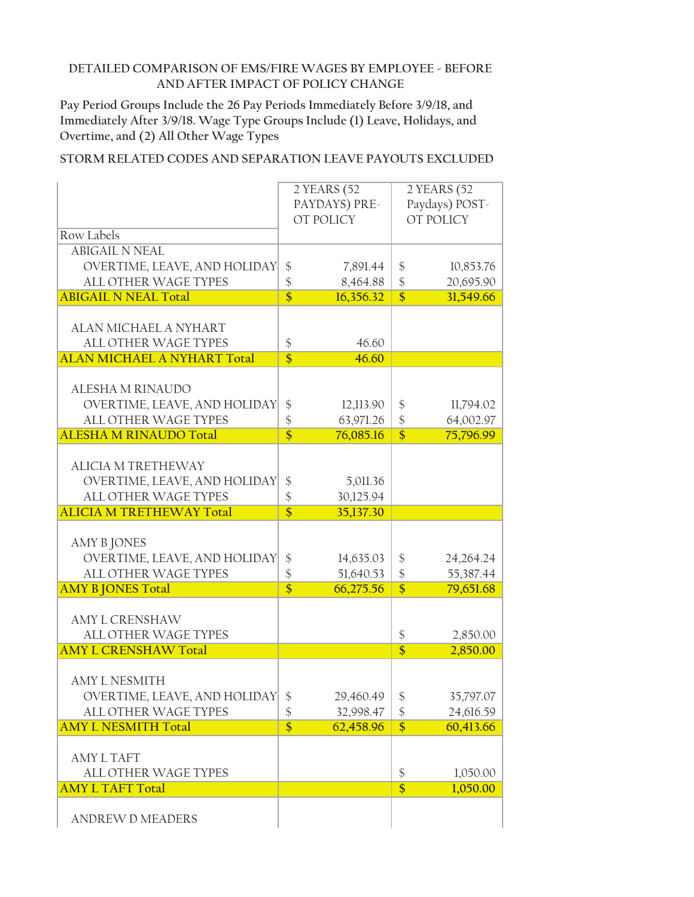**Pay Period Groups Include the 26 Pay Periods Immediately Before 3/9/18, and Immediately After 3/9/18. Wage Type Groups Include (1) Leave, Holidays, and Overtime, and (2) All Other Wage Types**

|                                    |                         | 2 YEARS (52   | 2 YEARS (52        |                |  |
|------------------------------------|-------------------------|---------------|--------------------|----------------|--|
|                                    |                         | PAYDAYS) PRE- |                    | Paydays) POST- |  |
|                                    |                         | OT POLICY     |                    | OT POLICY      |  |
| Row Labels                         |                         |               |                    |                |  |
| <b>ABIGAIL N NEAL</b>              |                         |               |                    |                |  |
| OVERTIME, LEAVE, AND HOLIDAY       | $\frac{1}{2}$           |               | $\frac{1}{2}$      | 10,853.76      |  |
|                                    |                         | 7,891.44      |                    |                |  |
| ALL OTHER WAGE TYPES               | $\frac{1}{2}$           | 8,464.88      | $\frac{1}{2}$      | 20,695.90      |  |
| <b>ABIGAIL N NEAL Total</b>        | $\overline{\$}$         | 16,356.32     | $\overline{\$}$    | 31,549.66      |  |
|                                    |                         |               |                    |                |  |
| <b>ALAN MICHAEL A NYHART</b>       |                         |               |                    |                |  |
| <b>ALL OTHER WAGE TYPES</b>        | \$                      | 46.60         |                    |                |  |
| <b>ALAN MICHAEL A NYHART Total</b> | $\overline{\mathsf{s}}$ | 46.60         |                    |                |  |
|                                    |                         |               |                    |                |  |
| ALESHA M RINAUDO                   |                         |               |                    |                |  |
| OVERTIME, LEAVE, AND HOLIDAY       | \$                      | 12,113.90     | \$                 | 11,794.02      |  |
| ALL OTHER WAGE TYPES               | \$                      | 63,971.26     | $\frac{1}{2}$      | 64,002.97      |  |
| <b>ALESHA M RINAUDO Total</b>      | $\overline{\$}$         | 76,085.16     | $\overline{\$}$    | 75,796.99      |  |
|                                    |                         |               |                    |                |  |
| <b>ALICIA M TRETHEWAY</b>          |                         |               |                    |                |  |
|                                    |                         |               |                    |                |  |
| OVERTIME, LEAVE, AND HOLIDAY       | \$                      | 5,011.36      |                    |                |  |
| ALL OTHER WAGE TYPES               | $\frac{1}{2}$           | 30,125.94     |                    |                |  |
|                                    |                         |               |                    |                |  |
| <b>ALICIA M TRETHEWAY Total</b>    | $\overline{\$}$         | 35,137.30     |                    |                |  |
|                                    |                         |               |                    |                |  |
| <b>AMY B JONES</b>                 |                         |               |                    |                |  |
| OVERTIME, LEAVE, AND HOLIDAY       | $\frac{1}{2}$           | 14,635.03     | \$                 | 24, 264. 24    |  |
| ALL OTHER WAGE TYPES               | \$                      | 51,640.53     | $\frac{1}{2}$      | 55,387.44      |  |
| <b>AMY B JONES Total</b>           | $\overline{\$}$         | 66,275.56     | $\overline{\$}$    | 79,651.68      |  |
|                                    |                         |               |                    |                |  |
| <b>AMY L CRENSHAW</b>              |                         |               |                    |                |  |
|                                    |                         |               |                    |                |  |
| <b>ALL OTHER WAGE TYPES</b>        |                         |               | \$                 | 2,850.00       |  |
| <b>AMY L CRENSHAW Total</b>        |                         |               | $\overline{\$}$    | 2,850.00       |  |
|                                    |                         |               |                    |                |  |
| <b>AMY L NESMITH</b>               |                         |               |                    |                |  |
| OVERTIME, LEAVE, AND HOLIDAY       | \$                      | 29,460.49     | \$                 | 35,797.07      |  |
| ALL OTHER WAGE TYPES               | $\boldsymbol{\$}$       | 32,998.47     | $\boldsymbol{\$}$  | 24,616.59      |  |
| <b>AMY L NESMITH Total</b>         | $\overline{\$}$         | 62,458.96     | $\overline{\$}$    | 60,413.66      |  |
|                                    |                         |               |                    |                |  |
| <b>AMY L TAFT</b>                  |                         |               |                    |                |  |
| <b>ALL OTHER WAGE TYPES</b>        |                         |               | $\boldsymbol{\xi}$ | 1,050.00       |  |
| <b>AMY L TAFT Total</b>            |                         |               | $\overline{\$}$    | 1,050.00       |  |
|                                    |                         |               |                    |                |  |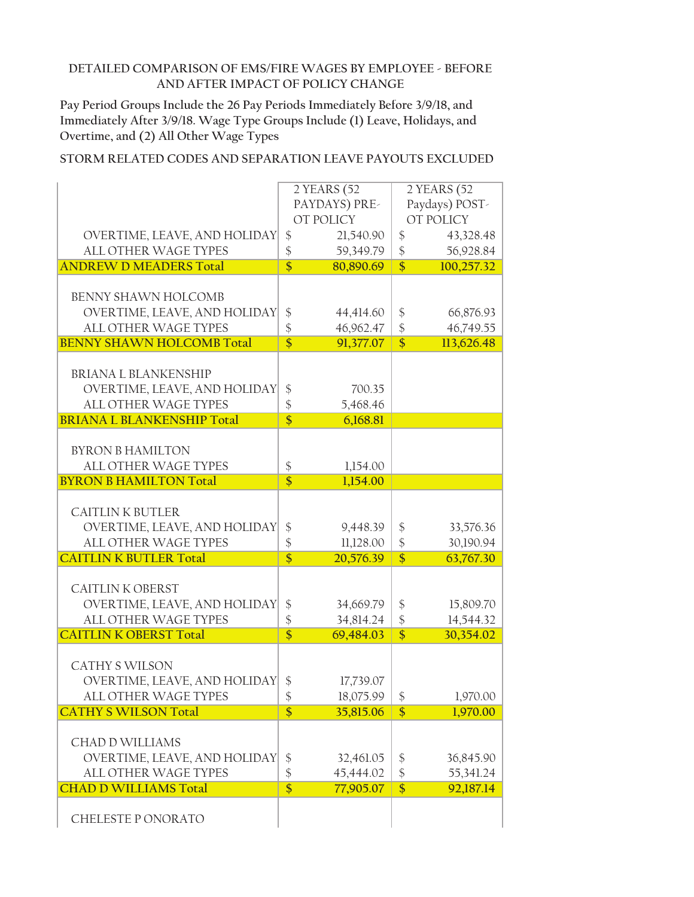**Pay Period Groups Include the 26 Pay Periods Immediately Before 3/9/18, and Immediately After 3/9/18. Wage Type Groups Include (1) Leave, Holidays, and Overtime, and (2) All Other Wage Types**

|                                                      |                   | 2 YEARS (52   | 2 YEARS (52       |                |
|------------------------------------------------------|-------------------|---------------|-------------------|----------------|
|                                                      |                   | PAYDAYS) PRE- |                   | Paydays) POST- |
|                                                      |                   | OT POLICY     |                   | OT POLICY      |
| OVERTIME, LEAVE, AND HOLIDAY                         | $\frac{1}{2}$     | 21,540.90     | $\frac{1}{2}$     | 43,328.48      |
| <b>ALL OTHER WAGE TYPES</b>                          | $\frac{1}{2}$     | 59,349.79     | $\frac{1}{2}$     | 56,928.84      |
| <b>ANDREW D MEADERS Total</b>                        | $\overline{\$}$   | 80,890.69     | $\overline{\$}$   | 100,257.32     |
|                                                      |                   |               |                   |                |
| <b>BENNY SHAWN HOLCOMB</b>                           |                   |               |                   |                |
| OVERTIME, LEAVE, AND HOLIDAY                         | \$                | 44,414.60     | \$                | 66,876.93      |
| ALL OTHER WAGE TYPES                                 | \$                | 46,962.47     | $\frac{1}{2}$     | 46,749.55      |
| <b>BENNY SHAWN HOLCOMB Total</b>                     | $\overline{\$}$   | 91,377.07     | $\overline{\$}$   | 113,626.48     |
|                                                      |                   |               |                   |                |
| <b>BRIANA L BLANKENSHIP</b>                          |                   |               |                   |                |
|                                                      |                   |               |                   |                |
| OVERTIME, LEAVE, AND HOLIDAY<br>ALL OTHER WAGE TYPES | $\boldsymbol{\$}$ | 700.35        |                   |                |
|                                                      | \$                | 5,468.46      |                   |                |
| <b>BRIANA L BLANKENSHIP Total</b>                    | $\overline{\$}$   | 6,168.81      |                   |                |
|                                                      |                   |               |                   |                |
| <b>BYRON B HAMILTON</b>                              |                   |               |                   |                |
| <b>ALL OTHER WAGE TYPES</b>                          | $\frac{1}{2}$     | 1,154.00      |                   |                |
| <b>BYRON B HAMILTON Total</b>                        | $\overline{\$}$   | 1,154.00      |                   |                |
|                                                      |                   |               |                   |                |
| <b>CAITLIN K BUTLER</b>                              |                   |               |                   |                |
| OVERTIME, LEAVE, AND HOLIDAY                         | \$                | 9,448.39      | \$                | 33,576.36      |
| ALL OTHER WAGE TYPES                                 | \$                | 11,128.00     | $\frac{1}{2}$     | 30,190.94      |
| <b>CAITLIN K BUTLER Total</b>                        | $\overline{\$}$   | 20,576.39     | $\overline{\$}$   | 63,767.30      |
|                                                      |                   |               |                   |                |
| <b>CAITLIN K OBERST</b>                              |                   |               |                   |                |
| OVERTIME, LEAVE, AND HOLIDAY                         | \$                | 34,669.79     | $\frac{1}{2}$     | 15,809.70      |
| ALL OTHER WAGE TYPES                                 | $\frac{1}{2}$     | 34,814.24     | \$                | 14,544.32      |
| <b>CAITLIN K OBERST Total</b>                        | $\overline{\$}$   | 69,484.03     | $\overline{\$}$   | 30,354.02      |
|                                                      |                   |               |                   |                |
| <b>CATHY S WILSON</b>                                |                   |               |                   |                |
| OVERTIME, LEAVE, AND HOLIDAY                         | \$                | 17,739.07     |                   |                |
| ALL OTHER WAGE TYPES                                 | $\boldsymbol{\$}$ | 18,075.99     | $\boldsymbol{\$}$ | 1,970.00       |
| <b>CATHY S WILSON Total</b>                          | $\overline{\$}$   | 35,815.06     | \$                | 1,970.00       |
|                                                      |                   |               |                   |                |
| <b>CHAD D WILLIAMS</b>                               |                   |               |                   |                |
| OVERTIME, LEAVE, AND HOLIDAY                         | $\updownarrow$    | 32,461.05     | $\frac{1}{2}$     | 36,845.90      |
| ALL OTHER WAGE TYPES                                 | \$                | 45,444.02     | $\boldsymbol{\$}$ | 55,341.24      |
| <b>CHAD D WILLIAMS Total</b>                         | $\overline{\$}$   | 77,905.07     | $\overline{\$}$   | 92,187.14      |
|                                                      |                   |               |                   |                |
|                                                      |                   |               |                   |                |
| CHELESTE PONORATO                                    |                   |               |                   |                |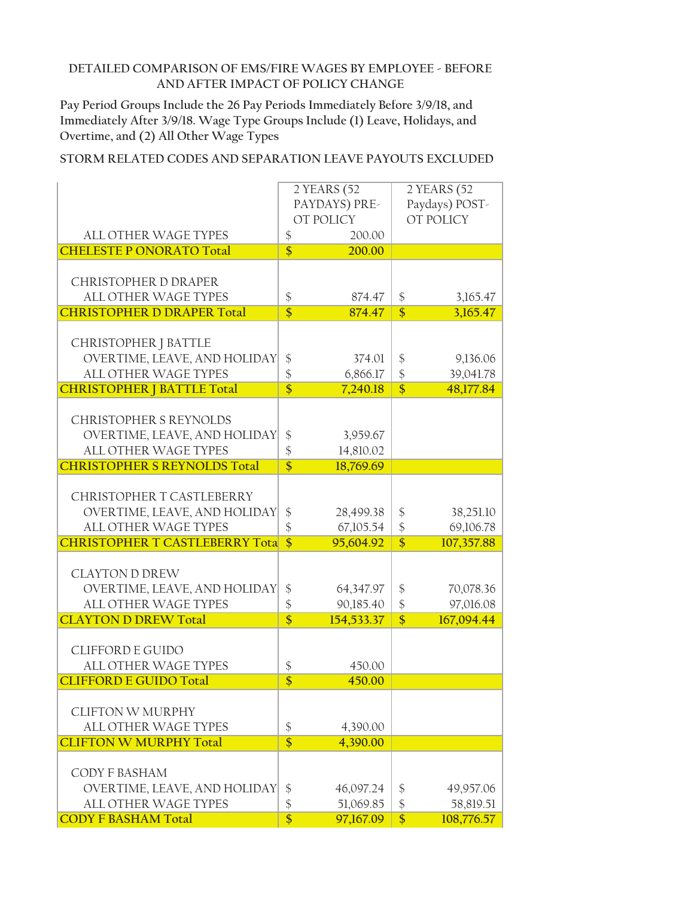**Pay Period Groups Include the 26 Pay Periods Immediately Before 3/9/18, and Immediately After 3/9/18. Wage Type Groups Include (1) Leave, Holidays, and Overtime, and (2) All Other Wage Types**

|                                        | 2 YEARS (52                |               | 2 YEARS (52       |            |
|----------------------------------------|----------------------------|---------------|-------------------|------------|
|                                        |                            | PAYDAYS) PRE- | Paydays) POST-    |            |
|                                        |                            | OT POLICY     |                   | OT POLICY  |
|                                        |                            |               |                   |            |
| ALL OTHER WAGE TYPES                   | \$                         | 200.00        |                   |            |
| <b>CHELESTE P ONORATO Total</b>        | $\overline{\$}$            | 200.00        |                   |            |
|                                        |                            |               |                   |            |
| <b>CHRISTOPHER D DRAPER</b>            |                            |               |                   |            |
| <b>ALL OTHER WAGE TYPES</b>            | \$                         | 874.47        | \$                | 3,165.47   |
| <b>CHRISTOPHER D DRAPER Total</b>      | $\overline{\$}$            | 874.47        | $\overline{\$}$   | 3,165.47   |
|                                        |                            |               |                   |            |
|                                        |                            |               |                   |            |
| CHRISTOPHER J BATTLE                   |                            |               |                   |            |
| OVERTIME, LEAVE, AND HOLIDAY           | \$                         | 374.01        | \$                | 9,136.06   |
| ALL OTHER WAGE TYPES                   | $\boldsymbol{\hat{\zeta}}$ | 6,866.17      | $\frac{1}{2}$     | 39,041.78  |
| <b>CHRISTOPHER   BATTLE Total</b>      | $\overline{\$}$            | 7,240.18      | $\overline{\$}$   | 48,177.84  |
|                                        |                            |               |                   |            |
| <b>CHRISTOPHER S REYNOLDS</b>          |                            |               |                   |            |
| OVERTIME, LEAVE, AND HOLIDAY           | \$                         | 3,959.67      |                   |            |
| ALL OTHER WAGE TYPES                   | \$                         | 14,810.02     |                   |            |
| <b>CHRISTOPHER S REYNOLDS Total</b>    | $\overline{\$}$            |               |                   |            |
|                                        |                            | 18,769.69     |                   |            |
|                                        |                            |               |                   |            |
| CHRISTOPHER T CASTLEBERRY              |                            |               |                   |            |
| OVERTIME, LEAVE, AND HOLIDAY           | $\frac{1}{2}$              | 28,499.38     | \$                | 38,251.10  |
| ALL OTHER WAGE TYPES                   | \$                         | 67,105.54     | \$                | 69,106.78  |
| <b>CHRISTOPHER T CASTLEBERRY Total</b> | $\overline{\mathsf{s}}$    | 95,604.92     | $\overline{\$}$   | 107,357.88 |
|                                        |                            |               |                   |            |
| <b>CLAYTON D DREW</b>                  |                            |               |                   |            |
| OVERTIME, LEAVE, AND HOLIDAY           | \$                         | 64,347.97     | \$                | 70,078.36  |
| ALL OTHER WAGE TYPES                   | \$                         | 90,185.40     | $\frac{1}{2}$     | 97,016.08  |
|                                        |                            |               |                   |            |
| <b>CLAYTON D DREW Total</b>            | $\overline{\$}$            | 154,533.37    | $\overline{\$}$   | 167,094.44 |
|                                        |                            |               |                   |            |
| <b>CLIFFORD E GUIDO</b>                |                            |               |                   |            |
| <b>ALL OTHER WAGE TYPES</b>            | \$                         | 450.00        |                   |            |
| <b>CLIFFORD E GUIDO Total</b>          | $\overline{\$}$            | 450.00        |                   |            |
|                                        |                            |               |                   |            |
| <b>CLIFTON W MURPHY</b>                |                            |               |                   |            |
| ALL OTHER WAGE TYPES                   | \$                         | 4,390.00      |                   |            |
| <b>CLIFTON W MURPHY Total</b>          | $\overline{\$}$            | 4,390.00      |                   |            |
|                                        |                            |               |                   |            |
|                                        |                            |               |                   |            |
| CODY F BASHAM                          |                            |               |                   |            |
| OVERTIME, LEAVE, AND HOLIDAY           | \$                         | 46,097.24     | \$                | 49,957.06  |
| ALL OTHER WAGE TYPES                   | \$                         | 51,069.85     | $\boldsymbol{\$}$ | 58,819.51  |
| <b>CODY F BASHAM Total</b>             | $\overline{\$}$            | 97,167.09     | $\overline{\$}$   | 108,776.57 |
|                                        |                            |               |                   |            |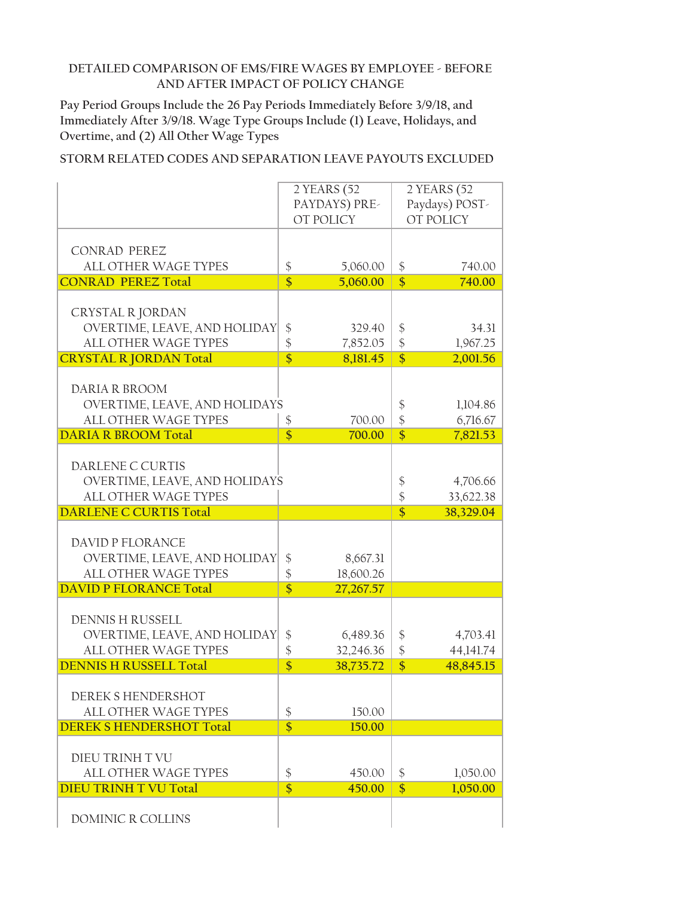**Pay Period Groups Include the 26 Pay Periods Immediately Before 3/9/18, and Immediately After 3/9/18. Wage Type Groups Include (1) Leave, Holidays, and Overtime, and (2) All Other Wage Types**

|                                 |                            | 2 YEARS (52   | 2 YEARS (52        |                |
|---------------------------------|----------------------------|---------------|--------------------|----------------|
|                                 |                            | PAYDAYS) PRE- |                    | Paydays) POST- |
|                                 |                            | OT POLICY     |                    | OT POLICY      |
|                                 |                            |               |                    |                |
|                                 |                            |               |                    |                |
| <b>CONRAD PEREZ</b>             |                            |               |                    |                |
| <b>ALL OTHER WAGE TYPES</b>     | $\boldsymbol{\mathsf{\$}}$ | 5,060.00      | $\boldsymbol{\xi}$ | 740.00         |
| <b>CONRAD PEREZ Total</b>       | $\overline{\$}$            | 5,060.00      | $\overline{\$}$    | 740.00         |
|                                 |                            |               |                    |                |
|                                 |                            |               |                    |                |
| CRYSTAL R JORDAN                |                            |               |                    |                |
| OVERTIME, LEAVE, AND HOLIDAY    | $\frac{1}{2}$              | 329.40        | \$                 | 34.31          |
| ALL OTHER WAGE TYPES            | $\frac{1}{2}$              | 7,852.05      | $\frac{1}{2}$      | 1,967.25       |
| <b>CRYSTAL R JORDAN Total</b>   | $\overline{\$}$            | 8,181.45      | $\overline{\$}$    | 2,001.56       |
|                                 |                            |               |                    |                |
| DARIA R BROOM                   |                            |               |                    |                |
| OVERTIME, LEAVE, AND HOLIDAYS   |                            |               | \$                 | 1,104.86       |
|                                 |                            |               |                    |                |
| ALL OTHER WAGE TYPES            | \$                         | 700.00        | \$                 | 6,716.67       |
| <b>DARIA R BROOM Total</b>      | $\overline{\$}$            | 700.00        | $\overline{\$}$    | 7,821.53       |
|                                 |                            |               |                    |                |
| DARLENE C CURTIS                |                            |               |                    |                |
| OVERTIME, LEAVE, AND HOLIDAYS   |                            |               | \$                 | 4,706.66       |
| ALL OTHER WAGE TYPES            |                            |               | \$                 | 33,622.38      |
| <b>DARLENE C CURTIS Total</b>   |                            |               | $\overline{\$}$    | 38,329.04      |
|                                 |                            |               |                    |                |
|                                 |                            |               |                    |                |
| <b>DAVID P FLORANCE</b>         |                            |               |                    |                |
| OVERTIME, LEAVE, AND HOLIDAY    | \$                         | 8,667.31      |                    |                |
| ALL OTHER WAGE TYPES            | \$                         | 18,600.26     |                    |                |
| <b>DAVID P FLORANCE Total</b>   | $\overline{\$}$            | 27,267.57     |                    |                |
|                                 |                            |               |                    |                |
|                                 |                            |               |                    |                |
| <b>DENNIS H RUSSELL</b>         |                            |               |                    |                |
| OVERTIME, LEAVE, AND HOLIDAY    |                            |               |                    |                |
|                                 | $\frac{1}{2}$              | 6,489.36      | \$                 | 4,703.41       |
| ALL OTHER WAGE TYPES            | \$                         | 32,246.36     | \$                 | 44,141.74      |
| <b>DENNIS H RUSSELL Total</b>   | $\overline{\mathsf{s}}$    | 38,735.72     | $\overline{\$}$    | 48,845.15      |
|                                 |                            |               |                    |                |
|                                 |                            |               |                    |                |
| DEREK SHENDERSHOT               |                            |               |                    |                |
| <b>ALL OTHER WAGE TYPES</b>     | $\updownarrow$             | 150.00        |                    |                |
| <b>DEREK S HENDERSHOT Total</b> | $\overline{\$}$            | 150.00        |                    |                |
|                                 |                            |               |                    |                |
| DIEU TRINH T VU                 |                            |               |                    |                |
| <b>ALL OTHER WAGE TYPES</b>     | \$                         | 450.00        | \$                 | 1,050.00       |
| <b>DIEU TRINH T VU Total</b>    | $\overline{\$}$            | 450.00        | $\overline{\$}$    |                |
|                                 |                            |               |                    | 1,050.00       |
| DOMINIC R COLLINS               |                            |               |                    |                |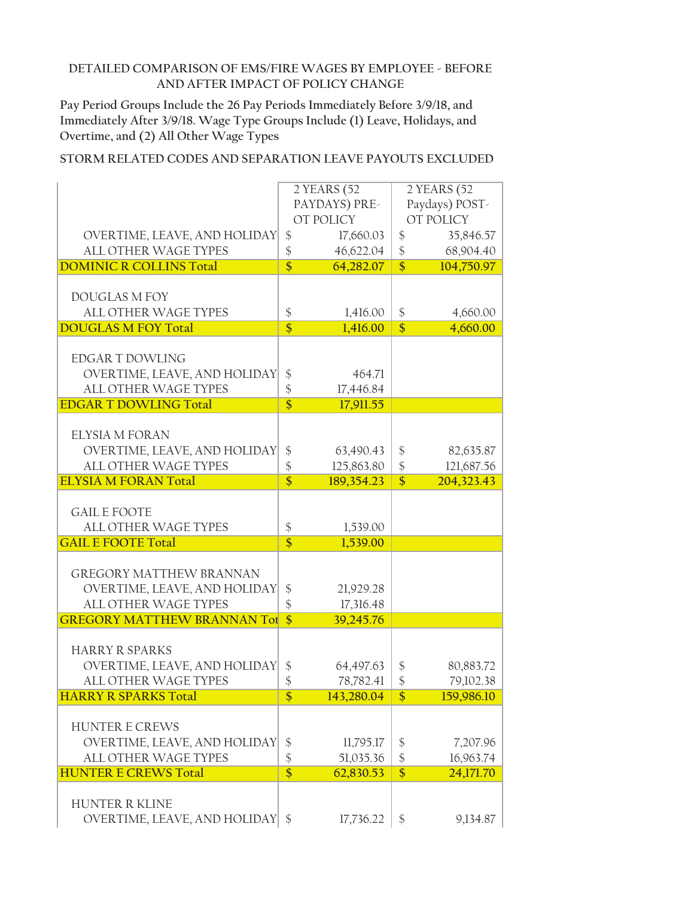**Pay Period Groups Include the 26 Pay Periods Immediately Before 3/9/18, and Immediately After 3/9/18. Wage Type Groups Include (1) Leave, Holidays, and Overtime, and (2) All Other Wage Types**

|                                    |                            | 2 YEARS (52   |                    | 2 YEARS (52    |
|------------------------------------|----------------------------|---------------|--------------------|----------------|
|                                    |                            | PAYDAYS) PRE- |                    | Paydays) POST- |
|                                    |                            | OT POLICY     |                    | OT POLICY      |
|                                    |                            |               |                    |                |
| OVERTIME, LEAVE, AND HOLIDAY       | $\frac{1}{2}$              | 17,660.03     | $\frac{1}{2}$      | 35,846.57      |
| ALL OTHER WAGE TYPES               | \$                         | 46,622.04     | \$                 | 68,904.40      |
| <b>DOMINIC R COLLINS Total</b>     | $\overline{\$}$            | 64,282.07     | $\overline{\$}$    | 104,750.97     |
|                                    |                            |               |                    |                |
| <b>DOUGLAS M FOY</b>               |                            |               |                    |                |
| <b>ALL OTHER WAGE TYPES</b>        | \$                         | 1,416.00      | \$                 | 4,660.00       |
| <b>DOUGLAS M FOY Total</b>         | $\overline{\$}$            | 1,416.00      | $\overline{\$}$    | 4,660.00       |
|                                    |                            |               |                    |                |
| <b>EDGAR T DOWLING</b>             |                            |               |                    |                |
| OVERTIME, LEAVE, AND HOLIDAY       | \$                         | 464.71        |                    |                |
| ALL OTHER WAGE TYPES               | \$                         | 17,446.84     |                    |                |
| <b>EDGAR T DOWLING Total</b>       | $\overline{\$}$            | 17,911.55     |                    |                |
|                                    |                            |               |                    |                |
| <b>ELYSIA M FORAN</b>              |                            |               |                    |                |
| OVERTIME, LEAVE, AND HOLIDAY       | \$                         | 63,490.43     | \$                 | 82,635.87      |
| ALL OTHER WAGE TYPES               |                            |               |                    |                |
|                                    | \$                         | 125,863.80    | $\frac{1}{2}$      | 121,687.56     |
| <b>ELYSIA M FORAN Total</b>        | $\overline{\$}$            | 189,354.23    | $\overline{\$}$    | 204,323.43     |
|                                    |                            |               |                    |                |
| <b>GAIL E FOOTE</b>                |                            |               |                    |                |
| <b>ALL OTHER WAGE TYPES</b>        | \$                         | 1,539.00      |                    |                |
| <b>GAIL E FOOTE Total</b>          | $\overline{\$}$            | 1,539.00      |                    |                |
|                                    |                            |               |                    |                |
| <b>GREGORY MATTHEW BRANNAN</b>     |                            |               |                    |                |
| OVERTIME, LEAVE, AND HOLIDAY       | \$                         | 21,929.28     |                    |                |
| ALL OTHER WAGE TYPES               | \$                         | 17,316.48     |                    |                |
| <b>GREGORY MATTHEW BRANNAN Tot</b> | $\overline{\mathbb{S}}$    | 39,245.76     |                    |                |
|                                    |                            |               |                    |                |
| <b>HARRY R SPARKS</b>              |                            |               |                    |                |
| OVERTIME, LEAVE, AND HOLIDAY       | \$                         | 64,497.63     | \$                 | 80,883.72      |
| <b>ALL OTHER WAGE TYPES</b>        | \$                         | 78,782.41     | $\frac{1}{2}$      | 79,102.38      |
| <b>HARRY R SPARKS Total</b>        | \$                         | 143,280.04    | \$                 | 159,986.10     |
|                                    |                            |               |                    |                |
| <b>HUNTER E CREWS</b>              |                            |               |                    |                |
|                                    |                            |               |                    |                |
| OVERTIME, LEAVE, AND HOLIDAY       | \$                         | 11,795.17     | $\boldsymbol{\xi}$ | 7,207.96       |
| ALL OTHER WAGE TYPES               | $\boldsymbol{\hat{\zeta}}$ | 51,035.36     | $\boldsymbol{\$}$  | 16,963.74      |
| <b>HUNTER E CREWS Total</b>        | $\overline{\$}$            | 62,830.53     | $\overline{\$}$    | 24,171.70      |
|                                    |                            |               |                    |                |
| <b>HUNTER R KLINE</b>              |                            |               |                    |                |
| OVERTIME, LEAVE, AND HOLIDAY       | $\$\$                      | 17,736.22     | \$                 | 9,134.87       |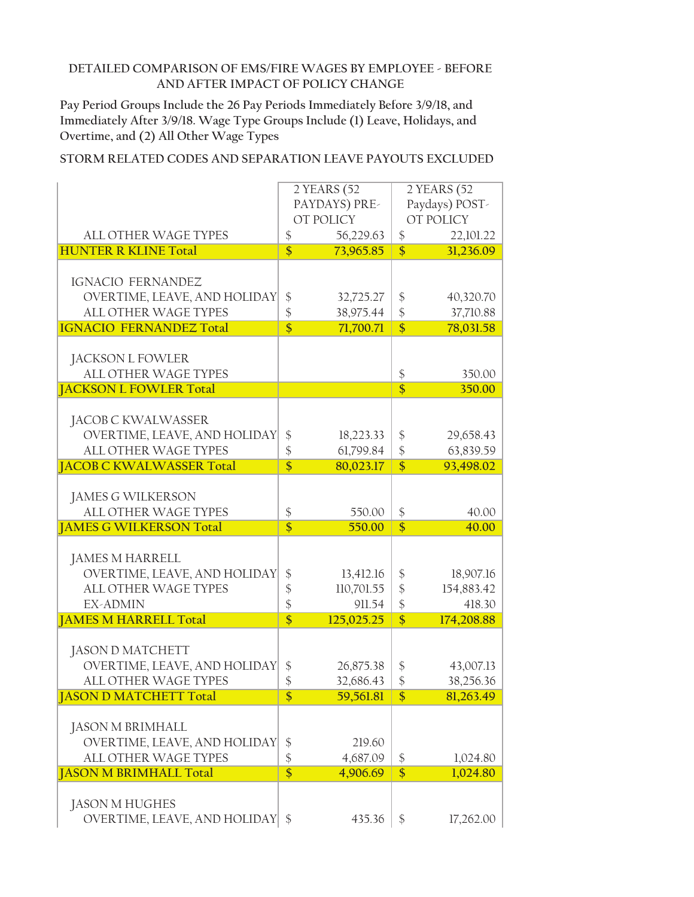**Pay Period Groups Include the 26 Pay Periods Immediately Before 3/9/18, and Immediately After 3/9/18. Wage Type Groups Include (1) Leave, Holidays, and Overtime, and (2) All Other Wage Types**

|                                  | 2 YEARS (52     |               | 2 YEARS (52       |                |
|----------------------------------|-----------------|---------------|-------------------|----------------|
|                                  |                 | PAYDAYS) PRE- |                   | Paydays) POST- |
|                                  |                 | OT POLICY     |                   | OT POLICY      |
|                                  |                 |               |                   |                |
| <b>ALL OTHER WAGE TYPES</b>      | \$              | 56,229.63     | \$                | 22,101.22      |
| <b>HUNTER R KLINE Total</b>      | $\overline{\$}$ | 73,965.85     | $\overline{\$}$   | 31,236.09      |
|                                  |                 |               |                   |                |
| <b>IGNACIO FERNANDEZ</b>         |                 |               |                   |                |
| OVERTIME, LEAVE, AND HOLIDAY     | \$              | 32,725.27     | \$                | 40,320.70      |
| ALL OTHER WAGE TYPES             | \$              | 38,975.44     | \$                | 37,710.88      |
|                                  |                 |               |                   |                |
| <b>IGNACIO FERNANDEZ Total</b>   | $\overline{\$}$ | 71,700.71     | $\overline{\$}$   | 78,031.58      |
|                                  |                 |               |                   |                |
| <b>JACKSON L FOWLER</b>          |                 |               |                   |                |
| ALL OTHER WAGE TYPES             |                 |               | \$                | 350.00         |
| <b>JACKSON L FOWLER Total</b>    |                 |               | $\overline{\$}$   | 350.00         |
|                                  |                 |               |                   |                |
| JACOB C KWALWASSER               |                 |               |                   |                |
| OVERTIME, LEAVE, AND HOLIDAY     | \$              | 18,223.33     | \$                | 29,658.43      |
| ALL OTHER WAGE TYPES             | \$              | 61,799.84     | $\boldsymbol{\$}$ | 63,839.59      |
| <b>JACOB C KWALWASSER Total</b>  | $\overline{\$}$ |               | $\overline{\$}$   |                |
|                                  |                 | 80,023.17     |                   | 93,498.02      |
|                                  |                 |               |                   |                |
| <b>JAMES G WILKERSON</b>         |                 |               |                   |                |
| ALL OTHER WAGE TYPES             | \$              | 550.00        | $\frac{1}{2}$     | 40.00          |
| <b>JAMES G WILKERSON Total</b>   | $\overline{\$}$ | 550.00        | $\overline{\$}$   | 40.00          |
|                                  |                 |               |                   |                |
| <b>JAMES M HARRELL</b>           |                 |               |                   |                |
| OVERTIME, LEAVE, AND HOLIDAY     | \$              | 13,412.16     | \$                | 18,907.16      |
| ALL OTHER WAGE TYPES             | \$              | 110,701.55    | $\frac{1}{2}$     | 154,883.42     |
| <b>EX-ADMIN</b>                  | \$              | 911.54        | $\frac{1}{2}$     | 418.30         |
|                                  | $\overline{\$}$ |               | $\overline{\$}$   |                |
| <b>JAMES M HARRELL Total</b>     |                 | 125,025.25    |                   | 174,208.88     |
|                                  |                 |               |                   |                |
| <b>JASON D MATCHETT</b>          |                 |               |                   |                |
| OVERTIME, LEAVE, AND HOLIDAY     | \$              | 26,875.38     | \$                | 43,007.13      |
| <b>ALL OTHER WAGE TYPES</b>      | \$              | 32,686.43     | $\frac{1}{2}$     | 38,256.36      |
| <b>JASON D MATCHETT Total</b>    | \$              | 59,561.81     | \$                | 81,263.49      |
|                                  |                 |               |                   |                |
| JASON M BRIMHALL                 |                 |               |                   |                |
| OVERTIME, LEAVE, AND HOLIDAY     | \$              | 219.60        |                   |                |
| ALL OTHER WAGE TYPES             | \$              | 4,687.09      | \$                | 1,024.80       |
|                                  |                 |               |                   |                |
| <b>JASON M BRIMHALL Total</b>    | $\overline{\$}$ | 4,906.69      | $\overline{\$}$   | 1,024.80       |
|                                  |                 |               |                   |                |
| JASON M HUGHES                   |                 |               |                   |                |
| OVERTIME, LEAVE, AND HOLIDAY \\$ |                 | 435.36        | $\frac{1}{2}$     | 17,262.00      |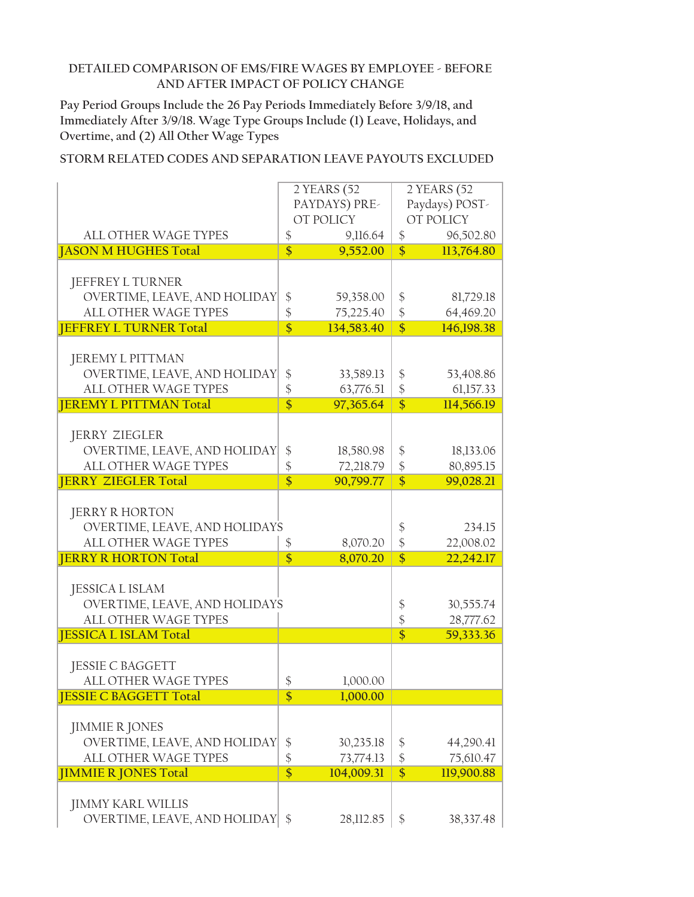**Pay Period Groups Include the 26 Pay Periods Immediately Before 3/9/18, and Immediately After 3/9/18. Wage Type Groups Include (1) Leave, Holidays, and Overtime, and (2) All Other Wage Types**

|                               |                         | 2 YEARS (52   |                         | 2 YEARS (52    |  |
|-------------------------------|-------------------------|---------------|-------------------------|----------------|--|
|                               |                         | PAYDAYS) PRE- |                         | Paydays) POST- |  |
|                               |                         | OT POLICY     |                         | OT POLICY      |  |
|                               |                         |               |                         |                |  |
| <b>ALL OTHER WAGE TYPES</b>   | \$                      | 9,116.64      | \$                      | 96,502.80      |  |
| <b>JASON M HUGHES Total</b>   | $\overline{\$}$         | 9,552.00      | $\overline{\mathbb{S}}$ | 113,764.80     |  |
|                               |                         |               |                         |                |  |
| JEFFREY L TURNER              |                         |               |                         |                |  |
| OVERTIME, LEAVE, AND HOLIDAY  | \$                      | 59,358.00     | \$                      | 81,729.18      |  |
| <b>ALL OTHER WAGE TYPES</b>   | $\frac{1}{2}$           | 75,225.40     | $\frac{1}{2}$           | 64,469.20      |  |
| <b>JEFFREY L TURNER Total</b> | $\overline{\$}$         | 134,583.40    | $\overline{\$}$         | 146,198.38     |  |
|                               |                         |               |                         |                |  |
| <b>JEREMY L PITTMAN</b>       |                         |               |                         |                |  |
| OVERTIME, LEAVE, AND HOLIDAY  | \$                      | 33,589.13     | \$                      | 53,408.86      |  |
| ALL OTHER WAGE TYPES          | \$                      | 63,776.51     | $\frac{1}{2}$           | 61,157.33      |  |
| <b>JEREMY L PITTMAN Total</b> | $\overline{\$}$         | 97,365.64     | $\overline{\$}$         | 114,566.19     |  |
|                               |                         |               |                         |                |  |
| <b>JERRY ZIEGLER</b>          |                         |               |                         |                |  |
| OVERTIME, LEAVE, AND HOLIDAY  | \$                      | 18,580.98     | \$                      | 18,133.06      |  |
| ALL OTHER WAGE TYPES          | $\frac{1}{2}$           | 72,218.79     | $\frac{1}{2}$           | 80,895.15      |  |
| <b>JERRY ZIEGLER Total</b>    | $\overline{\mathsf{s}}$ | 90,799.77     | $\overline{\$}$         | 99,028.21      |  |
|                               |                         |               |                         |                |  |
|                               |                         |               |                         |                |  |
| <b>JERRY R HORTON</b>         |                         |               |                         |                |  |
| OVERTIME, LEAVE, AND HOLIDAYS |                         |               | \$                      | 234.15         |  |
| ALL OTHER WAGE TYPES          | \$                      | 8,070.20      | $\frac{1}{2}$           | 22,008.02      |  |
| <b>JERRY R HORTON Total</b>   | $\overline{\$}$         | 8,070.20      | $\overline{\$}$         | 22,242.17      |  |
|                               |                         |               |                         |                |  |
| <b>JESSICA L ISLAM</b>        |                         |               |                         |                |  |
| OVERTIME, LEAVE, AND HOLIDAYS |                         |               | \$                      | 30,555.74      |  |
| ALL OTHER WAGE TYPES          |                         |               | \$                      | 28,777.62      |  |
| <b>JESSICA L ISLAM Total</b>  |                         |               | $\overline{\$}$         | 59,333.36      |  |
|                               |                         |               |                         |                |  |
| <b>JESSIE C BAGGETT</b>       |                         |               |                         |                |  |
| <b>ALL OTHER WAGE TYPES</b>   | \$                      | 1,000.00      |                         |                |  |
| <b>JESSIE C BAGGETT Total</b> | \$                      | 1,000.00      |                         |                |  |
|                               |                         |               |                         |                |  |
| <b>JIMMIE R JONES</b>         |                         |               |                         |                |  |
| OVERTIME, LEAVE, AND HOLIDAY  | \$                      | 30,235.18     | \$                      | 44,290.41      |  |
| <b>ALL OTHER WAGE TYPES</b>   | $\frac{1}{2}$           | 73,774.13     | $\frac{1}{2}$           | 75,610.47      |  |
| <b>JIMMIE R JONES Total</b>   | $\overline{\$}$         | 104,009.31    | $\overline{\$}$         | 119,900.88     |  |
|                               |                         |               |                         |                |  |
| <b>JIMMY KARL WILLIS</b>      |                         |               |                         |                |  |
|                               | \$                      |               |                         |                |  |
| OVERTIME, LEAVE, AND HOLIDAY  |                         | 28,112.85     | \$                      | 38,337.48      |  |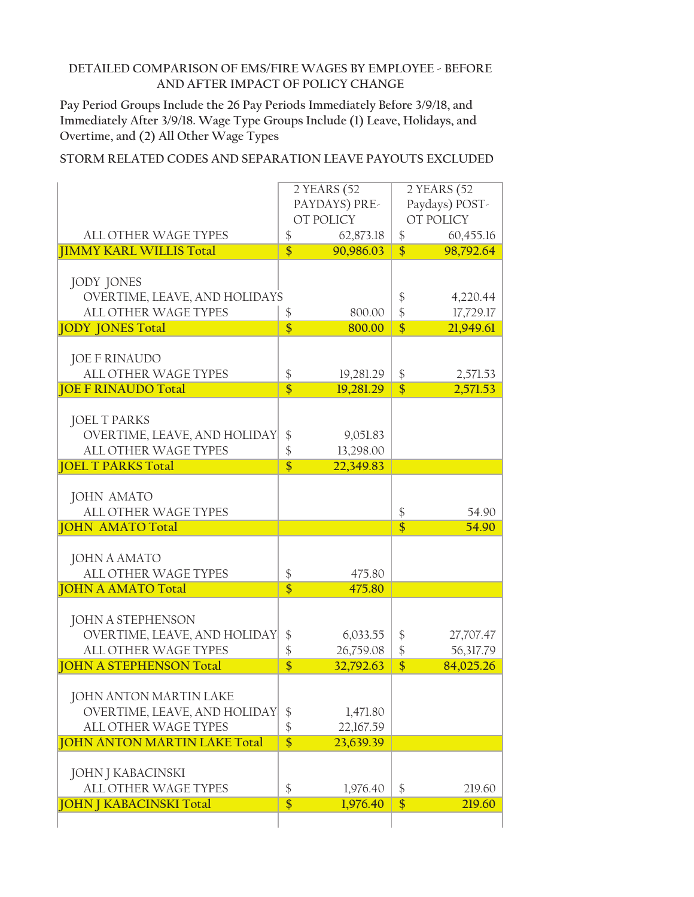**Pay Period Groups Include the 26 Pay Periods Immediately Before 3/9/18, and Immediately After 3/9/18. Wage Type Groups Include (1) Leave, Holidays, and Overtime, and (2) All Other Wage Types**

|                                                                                                                 |                                        | 2 YEARS (52<br>PAYDAYS) PRE-<br>OT POLICY |                       | 2 YEARS (52<br>Paydays) POST-<br>OT POLICY |
|-----------------------------------------------------------------------------------------------------------------|----------------------------------------|-------------------------------------------|-----------------------|--------------------------------------------|
| <b>ALL OTHER WAGE TYPES</b>                                                                                     | \$                                     | 62,873.18                                 | \$                    | 60,455.16                                  |
| <b>JIMMY KARL WILLIS Total</b>                                                                                  | $\overline{\mathbb{S}}$                | 90,986.03                                 | $\overline{\$}$       | 98,792.64                                  |
| JODY JONES<br>OVERTIME, LEAVE, AND HOLIDAYS                                                                     |                                        |                                           | \$                    | 4,220.44                                   |
| ALL OTHER WAGE TYPES                                                                                            | \$                                     | 800.00                                    | $\frac{1}{2}$         | 17,729.17                                  |
| <b>JODY JONES Total</b>                                                                                         | $\overline{\$}$                        | 800.00                                    | $\overline{\$}$       | 21,949.61                                  |
| <b>JOE F RINAUDO</b><br>ALL OTHER WAGE TYPES                                                                    | \$<br>$\overline{\mathbf{S}}$          | 19,281.29                                 | \$<br>$\overline{\$}$ | 2,571.53                                   |
| <b>JOE F RINAUDO Total</b>                                                                                      |                                        | 19,281.29                                 |                       | 2,571.53                                   |
| <b>JOEL T PARKS</b><br>OVERTIME, LEAVE, AND HOLIDAY<br><b>ALL OTHER WAGE TYPES</b><br><b>JOEL T PARKS Total</b> | \$<br>$\frac{1}{2}$<br>$\overline{\$}$ | 9,051.83<br>13,298.00<br>22,349.83        |                       |                                            |
|                                                                                                                 |                                        |                                           |                       |                                            |
| <b>JOHN AMATO</b>                                                                                               |                                        |                                           |                       |                                            |
| ALL OTHER WAGE TYPES                                                                                            |                                        |                                           | \$                    | 54.90                                      |
| <b>JOHN AMATO Total</b>                                                                                         |                                        |                                           | $\overline{\$}$       | 54.90                                      |
| <b>JOHN A AMATO</b><br>ALL OTHER WAGE TYPES                                                                     | \$                                     | 475.80                                    |                       |                                            |
| <b>JOHN A AMATO Total</b>                                                                                       | $\overline{\$}$                        | 475.80                                    |                       |                                            |
| <b>JOHN A STEPHENSON</b><br>OVERTIME, LEAVE, AND HOLIDAY<br>ALL OTHER WAGE TYPES                                | $\frac{1}{2}$<br>\$                    | 6,033.55<br>26,759.08                     | \$<br>$\frac{1}{2}$   | 27,707.47<br>56,317.79                     |
| <b>JOHN A STEPHENSON Total</b>                                                                                  | $\overline{\$}$                        | 32,792.63                                 | $\overline{\$}$       | 84,025.26                                  |
| JOHN ANTON MARTIN LAKE<br>OVERTIME, LEAVE, AND HOLIDAY<br>ALL OTHER WAGE TYPES                                  | \$<br>\$                               | 1,471.80<br>22,167.59                     |                       |                                            |
| <b>JOHN ANTON MARTIN LAKE Total</b>                                                                             | $\overline{\$}$                        | 23,639.39                                 |                       |                                            |
| JOHN J KABACINSKI<br><b>ALL OTHER WAGE TYPES</b>                                                                | \$                                     | 1,976.40                                  | $\boldsymbol{\$}$     | 219.60                                     |
| <b>JOHN J KABACINSKI Total</b>                                                                                  | \$                                     | 1,976.40                                  | $\overline{\$}$       | 219.60                                     |
|                                                                                                                 |                                        |                                           |                       |                                            |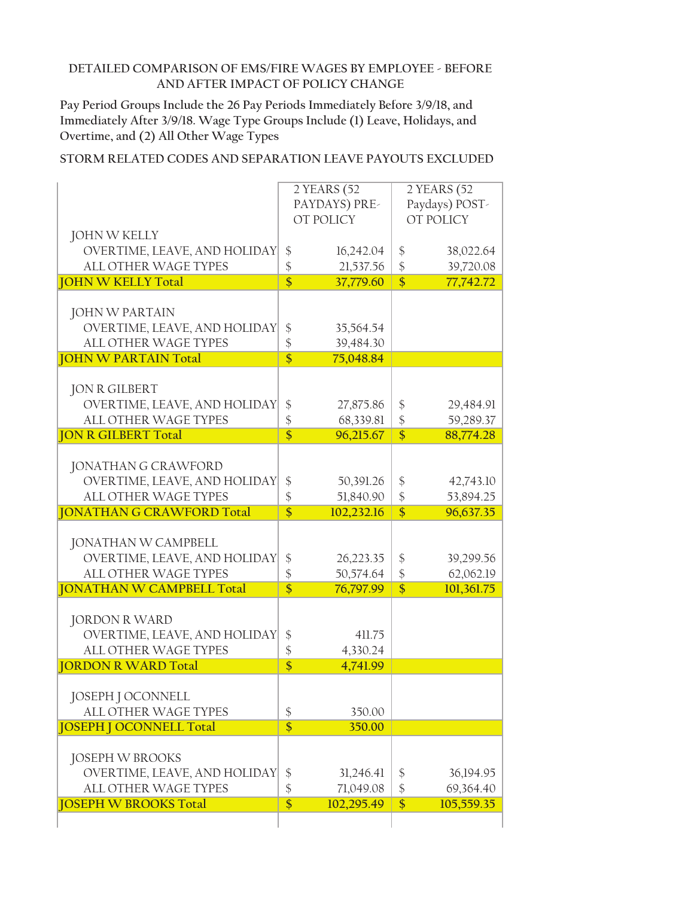**Pay Period Groups Include the 26 Pay Periods Immediately Before 3/9/18, and Immediately After 3/9/18. Wage Type Groups Include (1) Leave, Holidays, and Overtime, and (2) All Other Wage Types**

|                                                      |                       | 2 YEARS (52<br>PAYDAYS) PRE-<br>OT POLICY |                         | 2 YEARS (52<br>Paydays) POST-<br>OT POLICY |
|------------------------------------------------------|-----------------------|-------------------------------------------|-------------------------|--------------------------------------------|
| <b>JOHN W KELLY</b>                                  |                       |                                           |                         |                                            |
| OVERTIME, LEAVE, AND HOLIDAY                         | \$                    | 16,242.04                                 | \$                      | 38,022.64                                  |
| ALL OTHER WAGE TYPES                                 | $\frac{1}{2}$         | 21,537.56                                 | $\frac{1}{2}$           | 39,720.08                                  |
| <b>JOHN W KELLY Total</b>                            | $\overline{\$}$       | 37,779.60                                 | \$                      | 77,742.72                                  |
| <b>JOHN W PARTAIN</b>                                |                       |                                           |                         |                                            |
| OVERTIME, LEAVE, AND HOLIDAY                         | \$                    | 35,564.54                                 |                         |                                            |
| <b>ALL OTHER WAGE TYPES</b>                          | \$                    | 39,484.30                                 |                         |                                            |
| <b>JOHN W PARTAIN Total</b>                          | $\overline{\$}$       | 75,048.84                                 |                         |                                            |
|                                                      |                       |                                           |                         |                                            |
| <b>JON R GILBERT</b>                                 |                       |                                           |                         |                                            |
| OVERTIME, LEAVE, AND HOLIDAY                         | \$                    | 27,875.86                                 | \$                      | 29,484.91                                  |
| <b>ALL OTHER WAGE TYPES</b>                          | \$                    | 68,339.81                                 | $\frac{1}{2}$           | 59,289.37                                  |
| <b>JON R GILBERT Total</b>                           | $\overline{\$}$       | 96,215.67                                 | $\overline{\$}$         | 88,774.28                                  |
| <b>JONATHAN G CRAWFORD</b>                           |                       |                                           |                         |                                            |
| OVERTIME, LEAVE, AND HOLIDAY                         | \$                    | 50,391.26                                 | $\frac{1}{2}$           | 42,743.10                                  |
| ALL OTHER WAGE TYPES                                 | \$                    | 51,840.90                                 | $\frac{1}{2}$           | 53,894.25                                  |
|                                                      |                       |                                           |                         |                                            |
|                                                      | $\overline{\$}$       |                                           |                         |                                            |
| <b>JONATHAN G CRAWFORD Total</b>                     |                       | 102,232.16                                | \$                      | 96,637.35                                  |
| <b>JONATHAN W CAMPBELL</b>                           |                       |                                           |                         |                                            |
| OVERTIME, LEAVE, AND HOLIDAY                         | \$                    | 26,223.35                                 | \$                      | 39,299.56                                  |
| <b>ALL OTHER WAGE TYPES</b>                          | \$                    | 50,574.64                                 | $\frac{1}{2}$           | 62,062.19                                  |
| <b>JONATHAN W CAMPBELL Total</b>                     | $\overline{\$}$       | 76,797.99                                 | $\overline{\$}$         | 101,361.75                                 |
|                                                      |                       |                                           |                         |                                            |
| <b>JORDON R WARD</b>                                 |                       |                                           |                         |                                            |
| OVERTIME, LEAVE, AND HOLIDAY                         | \$                    | 411.75                                    |                         |                                            |
| ALL OTHER WAGE TYPES<br><b>JORDON R WARD Total</b>   | \$<br>$\overline{\$}$ | 4,330.24<br>4,741.99                      |                         |                                            |
|                                                      |                       |                                           |                         |                                            |
| JOSEPH J OCONNELL                                    |                       |                                           |                         |                                            |
| ALL OTHER WAGE TYPES                                 | \$                    | 350.00                                    |                         |                                            |
| <b>JOSEPH J OCONNELL Total</b>                       | \$                    | 350.00                                    |                         |                                            |
|                                                      |                       |                                           |                         |                                            |
| <b>JOSEPH W BROOKS</b>                               |                       |                                           |                         |                                            |
| OVERTIME, LEAVE, AND HOLIDAY                         | \$                    | 31,246.41                                 | \$                      | 36,194.95                                  |
| ALL OTHER WAGE TYPES<br><b>JOSEPH W BROOKS Total</b> | \$<br>\$              | 71,049.08<br>102,295.49                   | $\boldsymbol{\$}$<br>\$ | 69,364.40<br>105,559.35                    |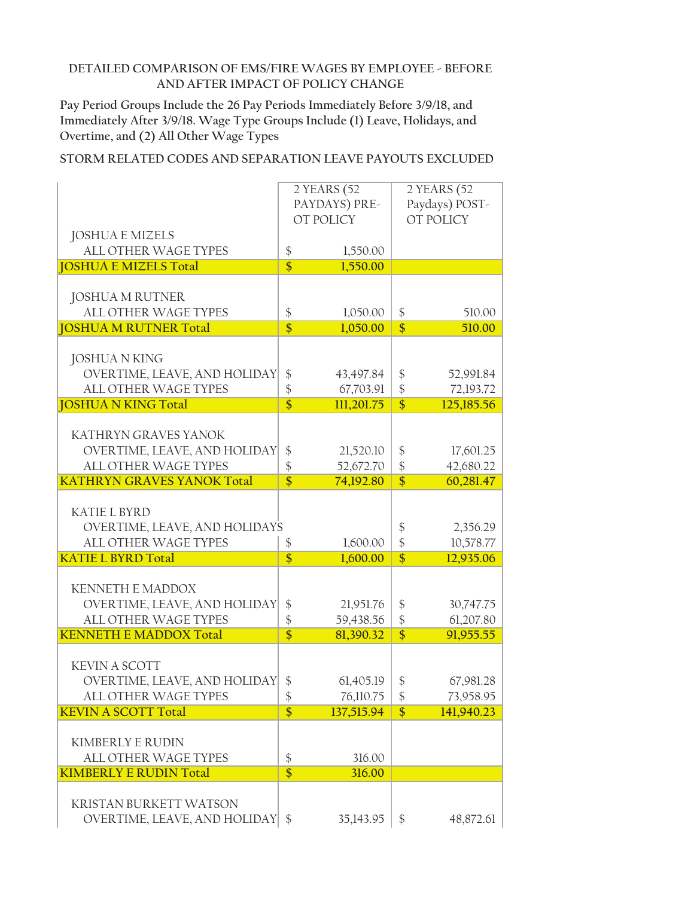**Pay Period Groups Include the 26 Pay Periods Immediately Before 3/9/18, and Immediately After 3/9/18. Wage Type Groups Include (1) Leave, Holidays, and Overtime, and (2) All Other Wage Types**

|                                   |                         | 2 YEARS (52   |                 | 2 YEARS (52    |
|-----------------------------------|-------------------------|---------------|-----------------|----------------|
|                                   |                         | PAYDAYS) PRE- |                 | Paydays) POST- |
|                                   |                         |               |                 |                |
|                                   |                         | OT POLICY     |                 | OT POLICY      |
| <b>JOSHUA E MIZELS</b>            |                         |               |                 |                |
| <b>ALL OTHER WAGE TYPES</b>       | \$                      | 1,550.00      |                 |                |
| <b>JOSHUA E MIZELS Total</b>      | $\overline{\$}$         | 1,550.00      |                 |                |
|                                   |                         |               |                 |                |
|                                   |                         |               |                 |                |
| <b>JOSHUA M RUTNER</b>            |                         |               |                 |                |
| ALL OTHER WAGE TYPES              | \$                      | 1,050.00      | \$              | 510.00         |
| <b>JOSHUA M RUTNER Total</b>      | $\overline{\$}$         | 1,050.00      | $\overline{\$}$ | 510.00         |
|                                   |                         |               |                 |                |
| <b>JOSHUA N KING</b>              |                         |               |                 |                |
|                                   |                         |               |                 |                |
| OVERTIME, LEAVE, AND HOLIDAY      | \$                      | 43,497.84     | \$              | 52,991.84      |
| ALL OTHER WAGE TYPES              | \$                      | 67,703.91     | $\frac{1}{2}$   | 72,193.72      |
| <b>JOSHUA N KING Total</b>        | $\overline{\$}$         | 111,201.75    | $\overline{\$}$ | 125,185.56     |
|                                   |                         |               |                 |                |
| KATHRYN GRAVES YANOK              |                         |               |                 |                |
| OVERTIME, LEAVE, AND HOLIDAY      | \$                      | 21,520.10     | \$              | 17,601.25      |
|                                   |                         |               |                 |                |
| ALL OTHER WAGE TYPES              | \$                      | 52,672.70     | $\frac{1}{2}$   | 42,680.22      |
| <b>KATHRYN GRAVES YANOK Total</b> | $\overline{\$}$         | 74,192.80     | $\overline{\$}$ | 60,281.47      |
|                                   |                         |               |                 |                |
| <b>KATIE L BYRD</b>               |                         |               |                 |                |
| OVERTIME, LEAVE, AND HOLIDAYS     |                         |               | \$              | 2,356.29       |
| ALL OTHER WAGE TYPES              |                         |               |                 |                |
|                                   | \$                      | 1,600.00      | $\frac{1}{2}$   | 10,578.77      |
| <b>KATIE L BYRD Total</b>         | $\overline{\$}$         | 1,600.00      | $\overline{\$}$ | 12,935.06      |
|                                   |                         |               |                 |                |
| <b>KENNETH E MADDOX</b>           |                         |               |                 |                |
| OVERTIME, LEAVE, AND HOLIDAY      | \$                      | 21,951.76     | \$              | 30,747.75      |
| <b>ALL OTHER WAGE TYPES</b>       | \$                      | 59,438.56     | $\frac{1}{2}$   | 61,207.80      |
| <b>KENNETH E MADDOX Total</b>     | $\overline{\$}$         | 81,390.32     | $\overline{\$}$ | 91,955.55      |
|                                   |                         |               |                 |                |
|                                   |                         |               |                 |                |
| <b>KEVIN A SCOTT</b>              |                         |               |                 |                |
| OVERTIME, LEAVE, AND HOLIDAY      | \$                      | 61,405.19     | \$              | 67,981.28      |
| ALL OTHER WAGE TYPES              | \$                      | 76,110.75     | \$              | 73,958.95      |
| <b>KEVIN A SCOTT Total</b>        | $\overline{\mathbf{S}}$ | 137,515.94    | $\overline{\$}$ | 141,940.23     |
|                                   |                         |               |                 |                |
|                                   |                         |               |                 |                |
| <b>KIMBERLY E RUDIN</b>           |                         |               |                 |                |
| <b>ALL OTHER WAGE TYPES</b>       | \$                      | 316.00        |                 |                |
| <b>KIMBERLY E RUDIN Total</b>     | $\overline{\mathsf{s}}$ | 316.00        |                 |                |
|                                   |                         |               |                 |                |
| <b>KRISTAN BURKETT WATSON</b>     |                         |               |                 |                |
|                                   |                         |               |                 |                |
| OVERTIME, LEAVE, AND HOLIDAY      | \$                      | 35,143.95     | \$              | 48,872.61      |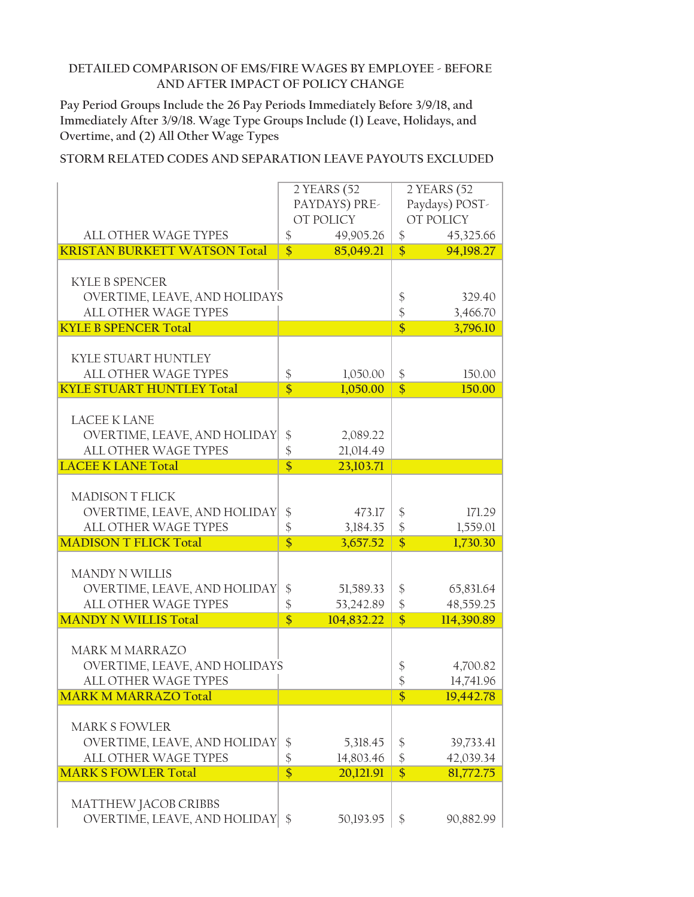**Pay Period Groups Include the 26 Pay Periods Immediately Before 3/9/18, and Immediately After 3/9/18. Wage Type Groups Include (1) Leave, Holidays, and Overtime, and (2) All Other Wage Types**

|                                     |                            | 2 YEARS (52   |                   | 2 YEARS (52    |
|-------------------------------------|----------------------------|---------------|-------------------|----------------|
|                                     |                            |               |                   |                |
|                                     |                            | PAYDAYS) PRE- |                   | Paydays) POST- |
|                                     |                            | OT POLICY     |                   | OT POLICY      |
| ALL OTHER WAGE TYPES                | $\boldsymbol{\$}$          | 49,905.26     | $\frac{1}{2}$     | 45,325.66      |
| <b>KRISTAN BURKETT WATSON Total</b> | $\overline{\$}$            | 85,049.21     | $\overline{\$}$   | 94,198.27      |
|                                     |                            |               |                   |                |
| <b>KYLE B SPENCER</b>               |                            |               |                   |                |
| OVERTIME, LEAVE, AND HOLIDAYS       |                            |               | \$                | 329.40         |
| <b>ALL OTHER WAGE TYPES</b>         |                            |               | $\frac{1}{2}$     |                |
|                                     |                            |               |                   | 3,466.70       |
| <b>KYLE B SPENCER Total</b>         |                            |               | $\overline{\$}$   | 3,796.10       |
|                                     |                            |               |                   |                |
| KYLE STUART HUNTLEY                 |                            |               |                   |                |
| <b>ALL OTHER WAGE TYPES</b>         | \$                         | 1,050.00      | \$                | 150.00         |
| <b>KYLE STUART HUNTLEY Total</b>    | $\overline{\$}$            | 1,050.00      | $\overline{\$}$   | 150.00         |
|                                     |                            |               |                   |                |
| <b>LACEE K LANE</b>                 |                            |               |                   |                |
| OVERTIME, LEAVE, AND HOLIDAY        | $\frac{1}{2}$              | 2,089.22      |                   |                |
| ALL OTHER WAGE TYPES                | $\boldsymbol{\hat{\zeta}}$ | 21,014.49     |                   |                |
| <b>LACEE K LANE Total</b>           | $\overline{\mathsf{s}}$    |               |                   |                |
|                                     |                            | 23,103.71     |                   |                |
|                                     |                            |               |                   |                |
| <b>MADISON T FLICK</b>              |                            |               |                   |                |
| OVERTIME, LEAVE, AND HOLIDAY        | $\frac{1}{2}$              | 473.17        | $\boldsymbol{\$}$ | 171.29         |
| ALL OTHER WAGE TYPES                | $\frac{1}{2}$              | 3,184.35      | $\frac{1}{2}$     | 1,559.01       |
| <b>MADISON T FLICK Total</b>        | $\overline{\$}$            | 3,657.52      | $\overline{\$}$   | 1,730.30       |
|                                     |                            |               |                   |                |
| <b>MANDY N WILLIS</b>               |                            |               |                   |                |
| OVERTIME, LEAVE, AND HOLIDAY        | \$                         | 51,589.33     | $\frac{1}{2}$     | 65,831.64      |
| ALL OTHER WAGE TYPES                | $\frac{1}{2}$              | 53,242.89     | \$                | 48,559.25      |
| <b>MANDY N WILLIS Total</b>         | $\overline{\mathbf{S}}$    | 104,832.22    | $\overline{\$}$   | 114,390.89     |
|                                     |                            |               |                   |                |
|                                     |                            |               |                   |                |
| <b>MARK M MARRAZO</b>               |                            |               |                   |                |
| OVERTIME, LEAVE, AND HOLIDAYS       |                            |               | \$                | 4,700.82       |
| <b>ALL OTHER WAGE TYPES</b>         |                            |               | $\frac{1}{2}$     | 14,741.96      |
| <b>MARK M MARRAZO Total</b>         |                            |               | \$                | 19,442.78      |
|                                     |                            |               |                   |                |
| <b>MARK S FOWLER</b>                |                            |               |                   |                |
| OVERTIME, LEAVE, AND HOLIDAY        | \$                         | 5,318.45      | \$                | 39,733.41      |
| <b>ALL OTHER WAGE TYPES</b>         | $\frac{1}{2}$              | 14,803.46     | \$                | 42,039.34      |
| <b>MARK S FOWLER Total</b>          | $\overline{\$}$            |               |                   |                |
|                                     |                            | 20,121.91     | $\overline{\$}$   | 81,772.75      |
|                                     |                            |               |                   |                |
| MATTHEW JACOB CRIBBS                |                            |               |                   |                |
| OVERTIME, LEAVE, AND HOLIDAY \\$    |                            | 50,193.95     | \$                | 90,882.99      |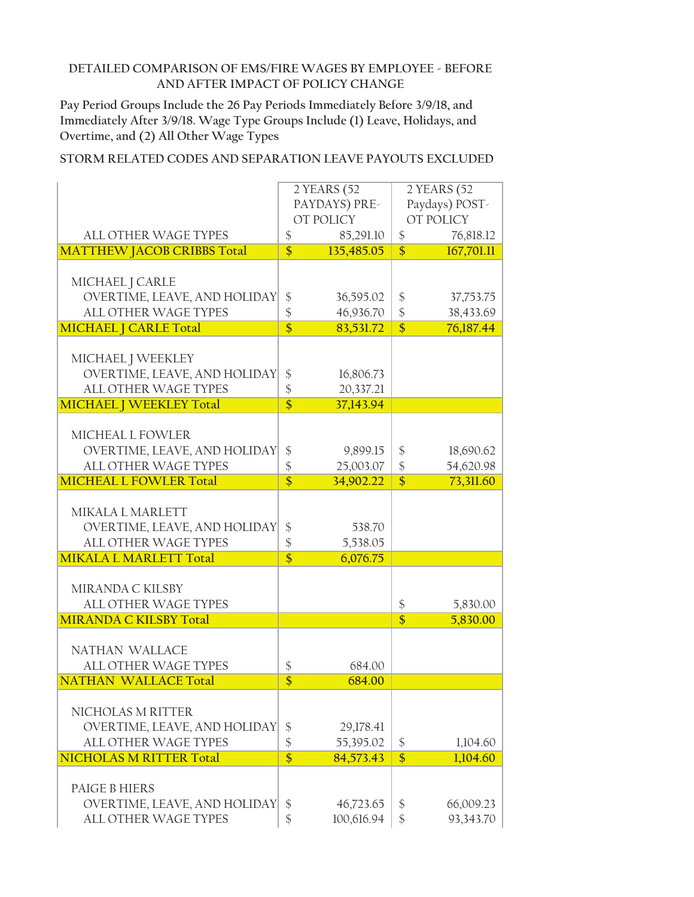**Pay Period Groups Include the 26 Pay Periods Immediately Before 3/9/18, and Immediately After 3/9/18. Wage Type Groups Include (1) Leave, Holidays, and Overtime, and (2) All Other Wage Types**

|                                                      |                         | 2 YEARS (52            |                                  | 2 YEARS (52            |
|------------------------------------------------------|-------------------------|------------------------|----------------------------------|------------------------|
|                                                      |                         | PAYDAYS) PRE-          |                                  | Paydays) POST-         |
|                                                      |                         | OT POLICY              |                                  | OT POLICY              |
| ALL OTHER WAGE TYPES                                 | \$                      | 85,291.10              | $\frac{1}{2}$                    | 76,818.12              |
| <b>MATTHEW JACOB CRIBBS Total</b>                    | $\overline{\$}$         | 135,485.05             | $\overline{\$}$                  | 167,701.11             |
|                                                      |                         |                        |                                  |                        |
| MICHAEL J CARLE                                      |                         |                        |                                  |                        |
| OVERTIME, LEAVE, AND HOLIDAY                         | $\frac{1}{2}$           | 36,595.02              | $\frac{1}{2}$                    | 37,753.75              |
| ALL OTHER WAGE TYPES                                 | \$                      | 46,936.70              | $\mathcal{S}$                    | 38,433.69              |
| <b>MICHAEL   CARLE Total</b>                         | $\overline{\$}$         | 83,531.72              | $\overline{\$}$                  | 76,187.44              |
|                                                      |                         |                        |                                  |                        |
| MICHAEL J WEEKLEY                                    |                         |                        |                                  |                        |
| OVERTIME, LEAVE, AND HOLIDAY                         | \$                      | 16,806.73              |                                  |                        |
| ALL OTHER WAGE TYPES                                 | \$                      | 20,337.21              |                                  |                        |
| <b>MICHAEL   WEEKLEY Total</b>                       | $\overline{\$}$         | 37,143.94              |                                  |                        |
|                                                      |                         |                        |                                  |                        |
| MICHEAL L FOWLER                                     |                         |                        |                                  |                        |
| OVERTIME, LEAVE, AND HOLIDAY<br>ALL OTHER WAGE TYPES | \$<br>\$                | 9,899.15               | \$                               | 18,690.62              |
| <b>MICHEAL L FOWLER Total</b>                        | $\overline{\$}$         | 25,003.07<br>34,902.22 | $\frac{1}{2}$<br>$\overline{\$}$ | 54,620.98<br>73,311.60 |
|                                                      |                         |                        |                                  |                        |
| MIKALA L MARLETT                                     |                         |                        |                                  |                        |
| OVERTIME, LEAVE, AND HOLIDAY                         | \$                      | 538.70                 |                                  |                        |
| ALL OTHER WAGE TYPES                                 | \$                      | 5,538.05               |                                  |                        |
| <b>MIKALA L MARLETT Total</b>                        | $\overline{\mathsf{s}}$ | 6,076.75               |                                  |                        |
|                                                      |                         |                        |                                  |                        |
| MIRANDA C KILSBY                                     |                         |                        |                                  |                        |
| <b>ALL OTHER WAGE TYPES</b>                          |                         |                        | $\boldsymbol{\$}$                | 5,830.00               |
| <b>MIRANDA C KILSBY Total</b>                        |                         |                        | $\overline{\$}$                  | 5,830.00               |
|                                                      |                         |                        |                                  |                        |
| NATHAN WALLACE                                       |                         |                        |                                  |                        |
| <b>ALL OTHER WAGE TYPES</b>                          | \$                      | 684.00                 |                                  |                        |
| <b>NATHAN WALLACE Total</b>                          | $\overline{\$}$         | 684.00                 |                                  |                        |
|                                                      |                         |                        |                                  |                        |
| NICHOLAS M RITTER                                    |                         |                        |                                  |                        |
| OVERTIME, LEAVE, AND HOLIDAY                         | \$                      | 29,178.41              |                                  |                        |
| ALL OTHER WAGE TYPES                                 | \$                      | 55,395.02              | \$                               | 1,104.60               |
| <b>NICHOLAS M RITTER Total</b>                       | $\overline{\$}$         | 84,573.43              | $\overline{\$}$                  | 1,104.60               |
|                                                      |                         |                        |                                  |                        |
| <b>PAIGE B HIERS</b>                                 |                         |                        |                                  |                        |
| OVERTIME, LEAVE, AND HOLIDAY                         | \$                      | 46,723.65              | \$                               | 66,009.23              |
| ALL OTHER WAGE TYPES                                 | \$                      | 100,616.94             | $\frac{1}{2}$                    | 93,343.70              |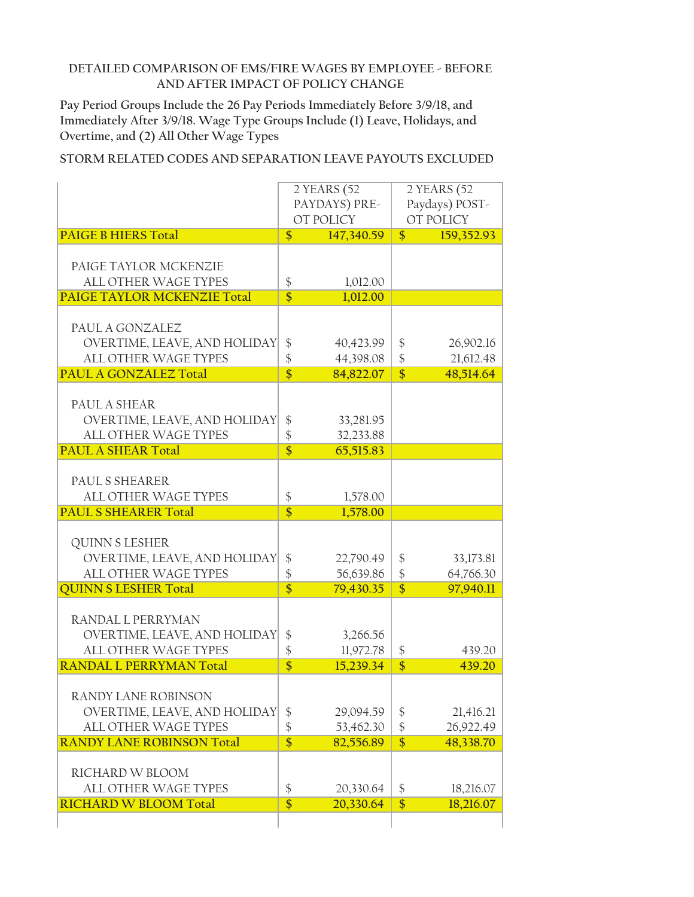**Pay Period Groups Include the 26 Pay Periods Immediately Before 3/9/18, and Immediately After 3/9/18. Wage Type Groups Include (1) Leave, Holidays, and Overtime, and (2) All Other Wage Types**

|                                    | 2 YEARS (52                |            | 2 YEARS (52                     |            |
|------------------------------------|----------------------------|------------|---------------------------------|------------|
|                                    | PAYDAYS) PRE-              |            | Paydays) POST-                  |            |
|                                    |                            | OT POLICY  |                                 | OT POLICY  |
| <b>PAIGE B HIERS Total</b>         | $\frac{1}{2}$              | 147,340.59 | $\boldsymbol{\hat{\mathsf{S}}}$ | 159,352.93 |
| PAIGE TAYLOR MCKENZIE              |                            |            |                                 |            |
| <b>ALL OTHER WAGE TYPES</b>        | \$                         | 1,012.00   |                                 |            |
| <b>PAIGE TAYLOR MCKENZIE Total</b> | $\overline{\$}$            | 1,012.00   |                                 |            |
| PAUL A GONZALEZ                    |                            |            |                                 |            |
| OVERTIME, LEAVE, AND HOLIDAY       | \$                         | 40,423.99  | \$                              | 26,902.16  |
| ALL OTHER WAGE TYPES               | \$                         | 44,398.08  | $\boldsymbol{\$}$               | 21,612.48  |
| <b>PAUL A GONZALEZ Total</b>       | $\overline{\mathsf{s}}$    | 84,822.07  | $\overline{\$}$                 | 48,514.64  |
|                                    |                            |            |                                 |            |
| PAUL A SHEAR                       |                            |            |                                 |            |
| OVERTIME, LEAVE, AND HOLIDAY       | \$                         | 33,281.95  |                                 |            |
| ALL OTHER WAGE TYPES               | \$                         | 32,233.88  |                                 |            |
| <b>PAUL A SHEAR Total</b>          | $\overline{\$}$            | 65,515.83  |                                 |            |
| PAUL S SHEARER                     |                            |            |                                 |            |
| <b>ALL OTHER WAGE TYPES</b>        | \$                         | 1,578.00   |                                 |            |
| <b>PAUL S SHEARER Total</b>        | $\overline{\$}$            | 1,578.00   |                                 |            |
|                                    |                            |            |                                 |            |
| <b>QUINN S LESHER</b>              |                            |            |                                 |            |
| OVERTIME, LEAVE, AND HOLIDAY       | \$                         | 22,790.49  | \$                              | 33,173.81  |
| <b>ALL OTHER WAGE TYPES</b>        | \$                         | 56,639.86  | $\frac{1}{2}$                   | 64,766.30  |
| <b>QUINN S LESHER Total</b>        | $\overline{\$}$            | 79,430.35  | $\overline{\$}$                 | 97,940.11  |
| RANDAL L PERRYMAN                  |                            |            |                                 |            |
| OVERTIME, LEAVE, AND HOLIDAY       | $\frac{1}{2}$              | 3,266.56   |                                 |            |
| ALL OTHER WAGE TYPES               | \$                         | 11,972.78  | \$                              | 439.20     |
| <b>RANDAL L PERRYMAN Total</b>     | $\overline{\$}$            | 15,239.34  | $\overline{\$}$                 | 439.20     |
|                                    |                            |            |                                 |            |
| RANDY LANE ROBINSON                |                            |            |                                 |            |
| OVERTIME, LEAVE, AND HOLIDAY       | \$                         | 29,094.59  | \$                              | 21,416.21  |
| ALL OTHER WAGE TYPES               | $\boldsymbol{\hat{\zeta}}$ | 53,462.30  | $\frac{1}{2}$                   | 26,922.49  |
| <b>RANDY LANE ROBINSON Total</b>   | $\overline{\$}$            | 82,556.89  | $\overline{\$}$                 | 48,338.70  |
| RICHARD W BLOOM                    |                            |            |                                 |            |
| ALL OTHER WAGE TYPES               |                            |            |                                 |            |
|                                    | \$                         | 20,330.64  | $\boldsymbol{\$}$               | 18,216.07  |
| <b>RICHARD W BLOOM Total</b>       | $\overline{\$}$            | 20,330.64  | $\overline{\$}$                 | 18,216.07  |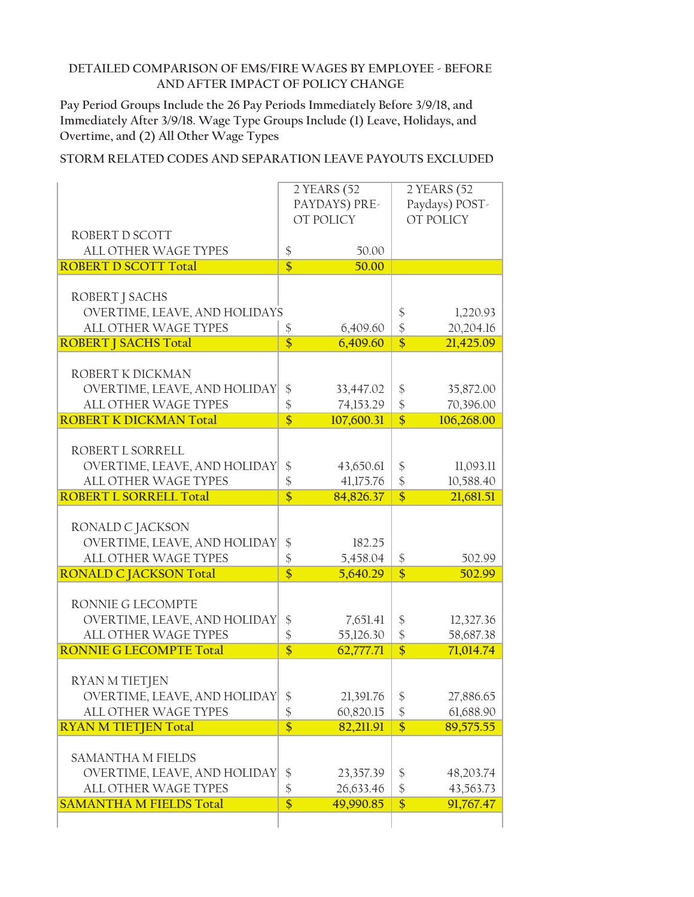**Pay Period Groups Include the 26 Pay Periods Immediately Before 3/9/18, and Immediately After 3/9/18. Wage Type Groups Include (1) Leave, Holidays, and Overtime, and (2) All Other Wage Types**

|                                                             |                                  | 2 YEARS (52            | 2 YEARS (52                          |                        |
|-------------------------------------------------------------|----------------------------------|------------------------|--------------------------------------|------------------------|
|                                                             | PAYDAYS) PRE-                    |                        | Paydays) POST-                       |                        |
|                                                             |                                  | OT POLICY              |                                      | OT POLICY              |
| ROBERT D SCOTT                                              |                                  |                        |                                      |                        |
| <b>ALL OTHER WAGE TYPES</b>                                 | \$<br>$\overline{\mathsf{s}}$    | 50.00                  |                                      |                        |
| <b>ROBERT D SCOTT Total</b>                                 |                                  | 50.00                  |                                      |                        |
| ROBERT J SACHS                                              |                                  |                        |                                      |                        |
| OVERTIME, LEAVE, AND HOLIDAYS                               |                                  |                        | \$                                   | 1,220.93               |
| <b>ALL OTHER WAGE TYPES</b>                                 | \$                               | 6,409.60               | $\frac{1}{2}$                        | 20,204.16              |
| <b>ROBERT J SACHS Total</b>                                 | $\overline{\$}$                  | 6,409.60               | $\overline{\$}$                      | 21,425.09              |
|                                                             |                                  |                        |                                      |                        |
| ROBERT K DICKMAN                                            |                                  |                        |                                      |                        |
| OVERTIME, LEAVE, AND HOLIDAY                                | $\frac{1}{2}$                    | 33,447.02              | $\frac{1}{2}$                        | 35,872.00              |
| <b>ALL OTHER WAGE TYPES</b>                                 | \$                               | 74,153.29              | $\boldsymbol{\$}$                    | 70,396.00              |
| <b>ROBERT K DICKMAN Total</b>                               | $\overline{\mathsf{s}}$          | 107,600.31             | $\overline{\$}$                      | 106,268.00             |
|                                                             |                                  |                        |                                      |                        |
| ROBERT L SORRELL                                            |                                  |                        |                                      |                        |
| OVERTIME, LEAVE, AND HOLIDAY                                | $\frac{1}{2}$                    | 43,650.61              | \$                                   | 11,093.11              |
| ALL OTHER WAGE TYPES<br><b>ROBERT L SORRELL Total</b>       | $\frac{1}{2}$<br>$\overline{\$}$ | 41,175.76<br>84,826.37 | $\frac{1}{2}$<br>$\overline{\$}$     | 10,588.40<br>21,681.51 |
|                                                             |                                  |                        |                                      |                        |
| RONALD C JACKSON                                            |                                  |                        |                                      |                        |
| OVERTIME, LEAVE, AND HOLIDAY                                | \$                               | 182.25                 |                                      |                        |
| ALL OTHER WAGE TYPES                                        | \$                               | 5,458.04               | \$                                   | 502.99                 |
| <b>RONALD C JACKSON Total</b>                               | $\overline{\$}$                  | 5,640.29               | $\overline{\$}$                      | 502.99                 |
|                                                             |                                  |                        |                                      |                        |
| RONNIE G LECOMPTE                                           |                                  |                        |                                      |                        |
| OVERTIME, LEAVE, AND HOLIDAY                                | $\frac{1}{2}$                    | 7,651.41               | \$                                   | 12,327.36              |
| ALL OTHER WAGE TYPES                                        | \$                               | 55,126.30              | $\frac{1}{2}$                        | 58,687.38              |
| <b>RONNIE G LECOMPTE Total</b>                              | $\overline{\$}$                  | 62,777.71              | $\overline{\$}$                      | 71,014.74              |
|                                                             |                                  |                        |                                      |                        |
| RYAN M TIETJEN                                              |                                  |                        |                                      |                        |
| OVERTIME, LEAVE, AND HOLIDAY<br><b>ALL OTHER WAGE TYPES</b> | \$                               | 21,391.76              | $\frac{1}{2}$                        | 27,886.65              |
| <b>RYAN M TIETJEN Total</b>                                 | \$<br>$\overline{\$}$            | 60,820.15<br>82,211.91 | $\boldsymbol{\$}$<br>$\overline{\$}$ | 61,688.90<br>89,575.55 |
|                                                             |                                  |                        |                                      |                        |
| <b>SAMANTHA M FIELDS</b>                                    |                                  |                        |                                      |                        |
| OVERTIME, LEAVE, AND HOLIDAY                                | \$                               | 23,357.39              | $\frac{1}{2}$                        | 48,203.74              |
| ALL OTHER WAGE TYPES                                        | \$                               | 26,633.46              | $\boldsymbol{\$}$                    | 43,563.73              |
| <b>SAMANTHA M FIELDS Total</b>                              | $\overline{\$}$                  | 49,990.85              | $\overline{\$}$                      | 91,767.47              |
|                                                             |                                  |                        |                                      |                        |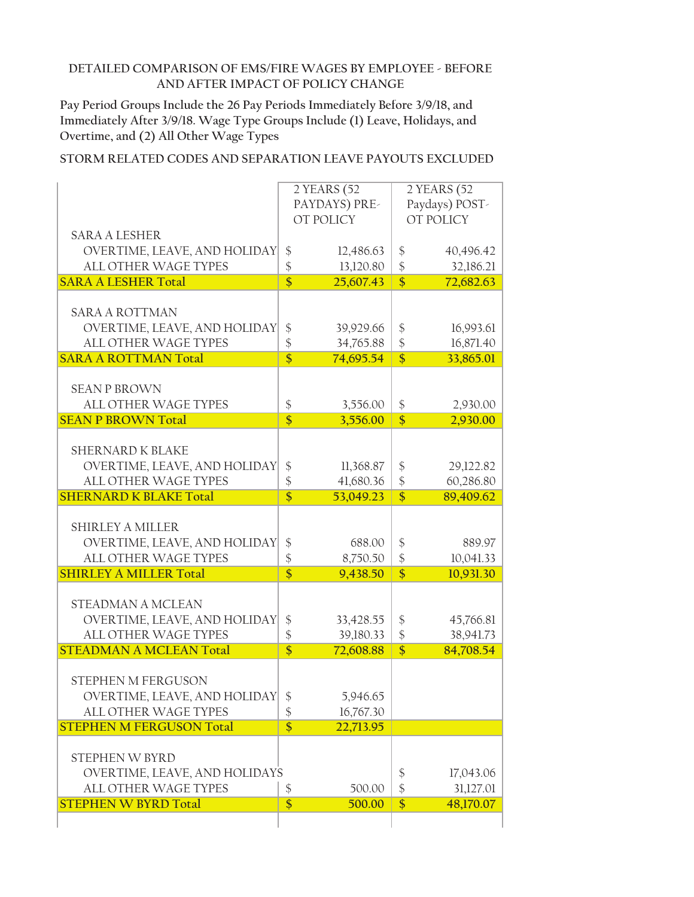**Pay Period Groups Include the 26 Pay Periods Immediately Before 3/9/18, and Immediately After 3/9/18. Wage Type Groups Include (1) Leave, Holidays, and Overtime, and (2) All Other Wage Types**

|                                 |                         | 2 YEARS (52            | 2 YEARS (52                |           |
|---------------------------------|-------------------------|------------------------|----------------------------|-----------|
|                                 | PAYDAYS) PRE-           |                        | Paydays) POST-             |           |
|                                 |                         | OT POLICY              |                            | OT POLICY |
| <b>SARA A LESHER</b>            |                         |                        |                            |           |
| OVERTIME, LEAVE, AND HOLIDAY    | \$                      |                        | \$                         | 40,496.42 |
| ALL OTHER WAGE TYPES            | \$                      | 12,486.63<br>13,120.80 |                            |           |
| <b>SARA A LESHER Total</b>      | $\overline{\$}$         | 25,607.43              | \$<br>$\overline{\$}$      | 32,186.21 |
|                                 |                         |                        |                            | 72,682.63 |
| <b>SARA A ROTTMAN</b>           |                         |                        |                            |           |
|                                 |                         |                        |                            |           |
| OVERTIME, LEAVE, AND HOLIDAY    | \$                      | 39,929.66              | \$                         | 16,993.61 |
| <b>ALL OTHER WAGE TYPES</b>     | \$                      | 34,765.88              | $\frac{1}{2}$              | 16,871.40 |
| <b>SARA A ROTTMAN Total</b>     | $\overline{\$}$         | 74,695.54              | $\overline{\$}$            | 33,865.01 |
|                                 |                         |                        |                            |           |
| <b>SEAN P BROWN</b>             |                         |                        |                            |           |
| <b>ALL OTHER WAGE TYPES</b>     | \$                      | 3,556.00               | \$                         | 2,930.00  |
| <b>SEAN P BROWN Total</b>       | $\overline{\mathsf{s}}$ | 3,556.00               | $\overline{\$}$            | 2,930.00  |
|                                 |                         |                        |                            |           |
| <b>SHERNARD K BLAKE</b>         |                         |                        |                            |           |
| OVERTIME, LEAVE, AND HOLIDAY    | \$                      | 11,368.87              | \$                         | 29,122.82 |
| ALL OTHER WAGE TYPES            | $\frac{1}{2}$           | 41,680.36              | $\frac{1}{2}$              | 60,286.80 |
| <b>SHERNARD K BLAKE Total</b>   | $\overline{\$}$         | 53,049.23              | $\overline{\$}$            | 89,409.62 |
|                                 |                         |                        |                            |           |
| <b>SHIRLEY A MILLER</b>         |                         |                        |                            |           |
| OVERTIME, LEAVE, AND HOLIDAY    | \$                      | 688.00                 | \$                         | 889.97    |
| ALL OTHER WAGE TYPES            | \$                      | 8,750.50               | $\frac{1}{2}$              | 10,041.33 |
| <b>SHIRLEY A MILLER Total</b>   | $\overline{\$}$         | 9,438.50               | $\overline{\$}$            | 10,931.30 |
|                                 |                         |                        |                            |           |
| STEADMAN A MCLEAN               |                         |                        |                            |           |
| OVERTIME, LEAVE, AND HOLIDAY    | \$                      | 33,428.55              | \$                         | 45,766.81 |
| ALL OTHER WAGE TYPES            | \$                      | 39,180.33              | $\frac{1}{2}$              | 38,941.73 |
| <b>STEADMAN A MCLEAN Total</b>  | $\overline{\$}$         | 72,608.88              | $\overline{\$}$            | 84,708.54 |
|                                 |                         |                        |                            |           |
| STEPHEN M FERGUSON              |                         |                        |                            |           |
| OVERTIME, LEAVE, AND HOLIDAY    | \$                      | 5,946.65               |                            |           |
| ALL OTHER WAGE TYPES            | $\frac{1}{2}$           | 16,767.30              |                            |           |
| <b>STEPHEN M FERGUSON Total</b> | $\overline{\$}$         | 22,713.95              |                            |           |
|                                 |                         |                        |                            |           |
| STEPHEN W BYRD                  |                         |                        |                            |           |
| OVERTIME, LEAVE, AND HOLIDAYS   |                         |                        | \$                         | 17,043.06 |
| <b>ALL OTHER WAGE TYPES</b>     | \$                      | 500.00                 | $\boldsymbol{\mathsf{\$}}$ | 31,127.01 |
| <b>STEPHEN W BYRD Total</b>     | $\overline{\$}$         | 500.00                 | $\overline{\$}$            | 48,170.07 |
|                                 |                         |                        |                            |           |
|                                 |                         |                        |                            |           |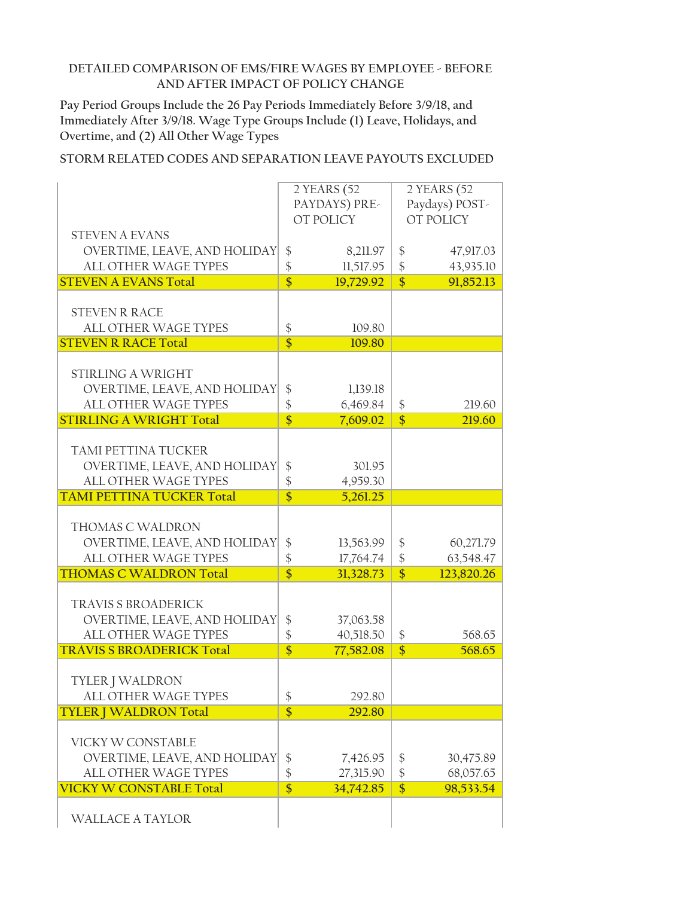**Pay Period Groups Include the 26 Pay Periods Immediately Before 3/9/18, and Immediately After 3/9/18. Wage Type Groups Include (1) Leave, Holidays, and Overtime, and (2) All Other Wage Types**

|                                  |                 | 2 YEARS (52 | 2 YEARS (52     |            |
|----------------------------------|-----------------|-------------|-----------------|------------|
|                                  | PAYDAYS) PRE-   |             | Paydays) POST-  |            |
|                                  |                 |             |                 |            |
|                                  |                 | OT POLICY   |                 | OT POLICY  |
| <b>STEVEN A EVANS</b>            |                 |             |                 |            |
| OVERTIME, LEAVE, AND HOLIDAY     |                 | 8,211.97    | \$              | 47,917.03  |
|                                  | \$              |             |                 |            |
| <b>ALL OTHER WAGE TYPES</b>      | \$              | 11,517.95   | $\frac{1}{2}$   | 43,935.10  |
| <b>STEVEN A EVANS Total</b>      | $\overline{\$}$ | 19,729.92   | $\overline{\$}$ | 91,852.13  |
|                                  |                 |             |                 |            |
| <b>STEVEN R RACE</b>             |                 |             |                 |            |
|                                  |                 |             |                 |            |
| <b>ALL OTHER WAGE TYPES</b>      | \$              | 109.80      |                 |            |
| <b>STEVEN R RACE Total</b>       | $\overline{\$}$ | 109.80      |                 |            |
|                                  |                 |             |                 |            |
| <b>STIRLING A WRIGHT</b>         |                 |             |                 |            |
| OVERTIME, LEAVE, AND HOLIDAY     |                 |             |                 |            |
|                                  | $\frac{1}{2}$   | 1,139.18    |                 |            |
| ALL OTHER WAGE TYPES             | \$              | 6,469.84    | \$              | 219.60     |
| <b>STIRLING A WRIGHT Total</b>   | $\overline{\$}$ | 7,609.02    | $\overline{\$}$ | 219.60     |
|                                  |                 |             |                 |            |
| TAMI PETTINA TUCKER              |                 |             |                 |            |
|                                  |                 |             |                 |            |
| OVERTIME, LEAVE, AND HOLIDAY     | \$              | 301.95      |                 |            |
| <b>ALL OTHER WAGE TYPES</b>      | \$              | 4,959.30    |                 |            |
| <b>TAMI PETTINA TUCKER Total</b> | $\overline{\$}$ | 5,261.25    |                 |            |
|                                  |                 |             |                 |            |
|                                  |                 |             |                 |            |
| THOMAS C WALDRON                 |                 |             |                 |            |
| OVERTIME, LEAVE, AND HOLIDAY     | \$              | 13,563.99   | \$              | 60,271.79  |
| ALL OTHER WAGE TYPES             | $\frac{1}{2}$   | 17,764.74   | $\frac{1}{2}$   | 63,548.47  |
| <b>THOMAS C WALDRON Total</b>    | $\overline{\$}$ | 31,328.73   | $\overline{\$}$ | 123,820.26 |
|                                  |                 |             |                 |            |
| <b>TRAVIS S BROADERICK</b>       |                 |             |                 |            |
|                                  |                 |             |                 |            |
| OVERTIME, LEAVE, AND HOLIDAY     | $\frac{1}{2}$   | 37,063.58   |                 |            |
| <b>ALL OTHER WAGE TYPES</b>      | \$              | 40,518.50   | \$              | 568.65     |
| <b>TRAVIS S BROADERICK Total</b> | $\overline{\$}$ | 77,582.08   | $\overline{\$}$ | 568.65     |
|                                  |                 |             |                 |            |
|                                  |                 |             |                 |            |
| TYLER J WALDRON                  |                 |             |                 |            |
| ALL OTHER WAGE TYPES             | \$              | 292.80      |                 |            |
| <b>TYLER   WALDRON Total</b>     | $\overline{\$}$ | 292.80      |                 |            |
|                                  |                 |             |                 |            |
| VICKY W CONSTABLE                |                 |             |                 |            |
|                                  |                 |             |                 |            |
| OVERTIME, LEAVE, AND HOLIDAY     | \$              | 7,426.95    | \$              | 30,475.89  |
| ALL OTHER WAGE TYPES             | \$              | 27,315.90   | $\frac{1}{2}$   | 68,057.65  |
| <b>VICKY W CONSTABLE Total</b>   | $\overline{\$}$ | 34,742.85   | $\overline{\$}$ | 98,533.54  |
|                                  |                 |             |                 |            |
|                                  |                 |             |                 |            |
| <b>WALLACE A TAYLOR</b>          |                 |             |                 |            |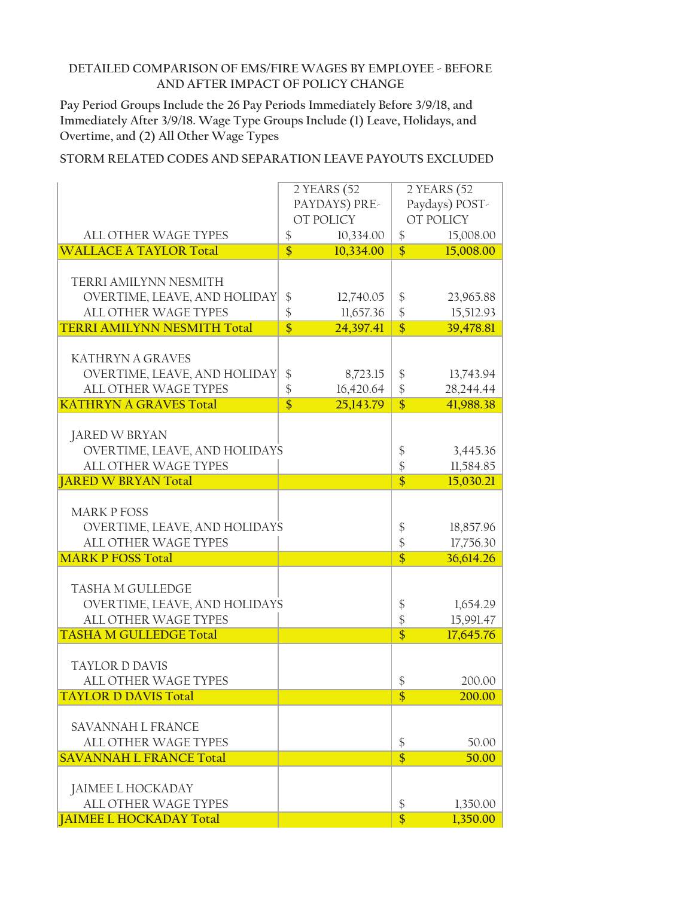**Pay Period Groups Include the 26 Pay Periods Immediately Before 3/9/18, and Immediately After 3/9/18. Wage Type Groups Include (1) Leave, Holidays, and Overtime, and (2) All Other Wage Types**

|                                                              | 2 YEARS (52       |           | 2 YEARS (52                      |           |
|--------------------------------------------------------------|-------------------|-----------|----------------------------------|-----------|
|                                                              | PAYDAYS) PRE-     |           | Paydays) POST-                   |           |
|                                                              |                   | OT POLICY |                                  | OT POLICY |
| <b>ALL OTHER WAGE TYPES</b>                                  | $\boldsymbol{\$}$ | 10,334.00 | \$                               | 15,008.00 |
| <b>WALLACE A TAYLOR Total</b>                                | $\overline{\$}$   | 10,334.00 | $\overline{\$}$                  | 15,008.00 |
|                                                              |                   |           |                                  |           |
| TERRI AMILYNN NESMITH                                        |                   |           |                                  |           |
| OVERTIME, LEAVE, AND HOLIDAY                                 | \$                | 12,740.05 | \$                               | 23,965.88 |
| ALL OTHER WAGE TYPES                                         | \$                | 11,657.36 | \$                               | 15,512.93 |
| <b>TERRI AMILYNN NESMITH Total</b>                           | $\overline{\$}$   | 24,397.41 | $\overline{\$}$                  | 39,478.81 |
|                                                              |                   |           |                                  |           |
| <b>KATHRYN A GRAVES</b>                                      |                   |           |                                  |           |
| OVERTIME, LEAVE, AND HOLIDAY                                 | $\frac{1}{2}$     | 8,723.15  | $\frac{1}{2}$                    | 13,743.94 |
| <b>ALL OTHER WAGE TYPES</b>                                  | \$                | 16,420.64 | $\frac{1}{2}$                    | 28,244.44 |
| <b>KATHRYN A GRAVES Total</b>                                | $\overline{\$}$   | 25,143.79 | $\overline{\$}$                  | 41,988.38 |
|                                                              |                   |           |                                  |           |
| JARED W BRYAN                                                |                   |           |                                  |           |
| OVERTIME, LEAVE, AND HOLIDAYS<br><b>ALL OTHER WAGE TYPES</b> |                   |           | \$                               | 3,445.36  |
|                                                              |                   |           | $\frac{1}{2}$<br>$\overline{\$}$ | 11,584.85 |
| <b>JARED W BRYAN Total</b>                                   |                   |           |                                  | 15,030.21 |
| <b>MARK P FOSS</b>                                           |                   |           |                                  |           |
| OVERTIME, LEAVE, AND HOLIDAYS                                |                   |           | \$                               | 18,857.96 |
| ALL OTHER WAGE TYPES                                         |                   |           | $\frac{1}{2}$                    | 17,756.30 |
| <b>MARK P FOSS Total</b>                                     |                   |           | $\overline{\$}$                  | 36,614.26 |
|                                                              |                   |           |                                  |           |
| <b>TASHA M GULLEDGE</b>                                      |                   |           |                                  |           |
| OVERTIME, LEAVE, AND HOLIDAYS                                |                   |           | \$                               | 1,654.29  |
| ALL OTHER WAGE TYPES                                         |                   |           | $\frac{1}{2}$                    | 15,991.47 |
| <b>TASHA M GULLEDGE Total</b>                                |                   |           | $\overline{\$}$                  | 17,645.76 |
|                                                              |                   |           |                                  |           |
| <b>TAYLOR D DAVIS</b>                                        |                   |           |                                  |           |
| <b>ALL OTHER WAGE TYPES</b>                                  |                   |           | \$                               | 200.00    |
| <b>TAYLOR D DAVIS Total</b>                                  |                   |           | \$                               | 200.00    |
|                                                              |                   |           |                                  |           |
| SAVANNAH L FRANCE                                            |                   |           |                                  |           |
| <b>ALL OTHER WAGE TYPES</b>                                  |                   |           | \$                               | 50.00     |
| <b>SAVANNAH L FRANCE Total</b>                               |                   |           | $\overline{\$}$                  | 50.00     |
|                                                              |                   |           |                                  |           |
| <b>JAIMEE L HOCKADAY</b>                                     |                   |           |                                  |           |
| <b>ALL OTHER WAGE TYPES</b>                                  |                   |           | \$                               | 1,350.00  |
| <b>JAIMEE L HOCKADAY Total</b>                               |                   |           | $\overline{\$}$                  | 1,350.00  |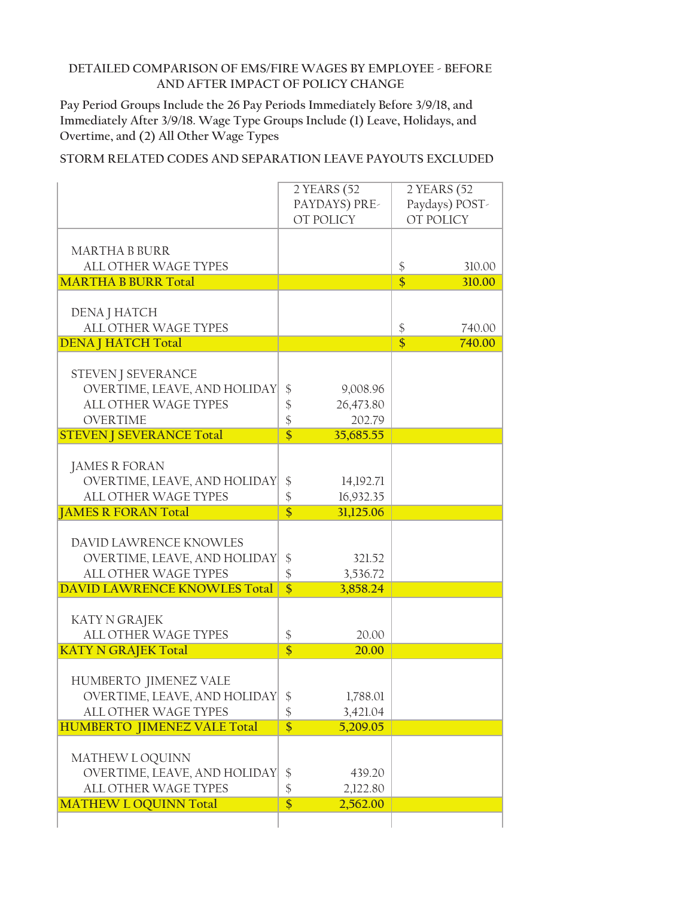**Pay Period Groups Include the 26 Pay Periods Immediately Before 3/9/18, and Immediately After 3/9/18. Wage Type Groups Include (1) Leave, Holidays, and Overtime, and (2) All Other Wage Types**

|                                     | 2 YEARS (52                   |                   | 2 YEARS (52    |
|-------------------------------------|-------------------------------|-------------------|----------------|
|                                     | PAYDAYS) PRE-                 |                   | Paydays) POST- |
|                                     |                               |                   |                |
|                                     | OT POLICY                     |                   | OT POLICY      |
|                                     |                               |                   |                |
| <b>MARTHA B BURR</b>                |                               |                   |                |
|                                     |                               |                   |                |
| <b>ALL OTHER WAGE TYPES</b>         |                               | $\boldsymbol{\$}$ | 310.00         |
| <b>MARTHA B BURR Total</b>          |                               | $\overline{\$}$   | 310.00         |
|                                     |                               |                   |                |
|                                     |                               |                   |                |
| DENA J HATCH                        |                               |                   |                |
| ALL OTHER WAGE TYPES                |                               | $\frac{1}{2}$     | 740.00         |
| <b>DENA   HATCH Total</b>           |                               | $\overline{\$}$   | 740.00         |
|                                     |                               |                   |                |
|                                     |                               |                   |                |
| <b>STEVEN J SEVERANCE</b>           |                               |                   |                |
| OVERTIME, LEAVE, AND HOLIDAY        | $\boldsymbol{\$}$<br>9,008.96 |                   |                |
| <b>ALL OTHER WAGE TYPES</b>         | \$<br>26,473.80               |                   |                |
|                                     |                               |                   |                |
| <b>OVERTIME</b>                     | $\frac{1}{2}$<br>202.79       |                   |                |
| <b>STEVEN J SEVERANCE Total</b>     | $\overline{\$}$<br>35,685.55  |                   |                |
|                                     |                               |                   |                |
|                                     |                               |                   |                |
| <b>JAMES R FORAN</b>                |                               |                   |                |
| OVERTIME, LEAVE, AND HOLIDAY        | \$<br>14,192.71               |                   |                |
| <b>ALL OTHER WAGE TYPES</b>         | \$<br>16,932.35               |                   |                |
|                                     |                               |                   |                |
|                                     |                               |                   |                |
| <b>JAMES R FORAN Total</b>          | $\overline{\$}$<br>31,125.06  |                   |                |
|                                     |                               |                   |                |
| DAVID LAWRENCE KNOWLES              |                               |                   |                |
|                                     |                               |                   |                |
| OVERTIME, LEAVE, AND HOLIDAY        | \$<br>321.52                  |                   |                |
| ALL OTHER WAGE TYPES                | \$<br>3,536.72                |                   |                |
| <b>DAVID LAWRENCE KNOWLES Total</b> | $\overline{\$}$<br>3,858.24   |                   |                |
|                                     |                               |                   |                |
|                                     |                               |                   |                |
| <b>KATY N GRAJEK</b>                |                               |                   |                |
| <b>ALL OTHER WAGE TYPES</b>         | \$<br>20.00                   |                   |                |
|                                     | $\overline{\$}$<br>20.00      |                   |                |
| <b>KATY N GRAJEK Total</b>          |                               |                   |                |
|                                     |                               |                   |                |
| <b>HUMBERTO JIMENEZ VALE</b>        |                               |                   |                |
| OVERTIME, LEAVE, AND HOLIDAY        |                               |                   |                |
|                                     | \$<br>1,788.01                |                   |                |
| ALL OTHER WAGE TYPES                | $\frac{1}{2}$<br>3,421.04     |                   |                |
| <b>HUMBERTO JIMENEZ VALE Total</b>  | $\overline{\$}$<br>5,209.05   |                   |                |
|                                     |                               |                   |                |
|                                     |                               |                   |                |
| MATHEW L OQUINN                     |                               |                   |                |
| OVERTIME, LEAVE, AND HOLIDAY        | \$<br>439.20                  |                   |                |
| ALL OTHER WAGE TYPES                | \$<br>2,122.80                |                   |                |
|                                     | $\overline{\$}$<br>2,562.00   |                   |                |
| <b>MATHEW L OQUINN Total</b>        |                               |                   |                |